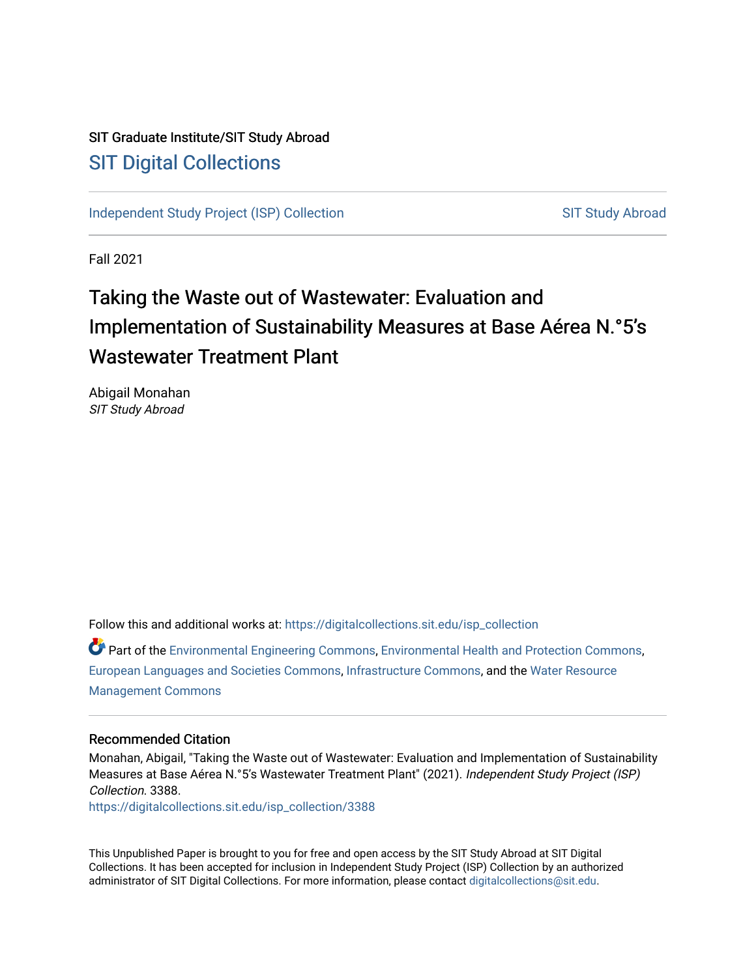# SIT Graduate Institute/SIT Study Abroad [SIT Digital Collections](https://digitalcollections.sit.edu/)

[Independent Study Project \(ISP\) Collection](https://digitalcollections.sit.edu/isp_collection) [SIT Study Abroad](https://digitalcollections.sit.edu/study_abroad) SIT Study Abroad

Fall 2021

# Taking the Waste out of Wastewater: Evaluation and Implementation of Sustainability Measures at Base Aérea N.°5's Wastewater Treatment Plant

Abigail Monahan SIT Study Abroad

Follow this and additional works at: [https://digitalcollections.sit.edu/isp\\_collection](https://digitalcollections.sit.edu/isp_collection?utm_source=digitalcollections.sit.edu%2Fisp_collection%2F3388&utm_medium=PDF&utm_campaign=PDFCoverPages) 

Part of the [Environmental Engineering Commons](http://network.bepress.com/hgg/discipline/254?utm_source=digitalcollections.sit.edu%2Fisp_collection%2F3388&utm_medium=PDF&utm_campaign=PDFCoverPages), [Environmental Health and Protection Commons](http://network.bepress.com/hgg/discipline/172?utm_source=digitalcollections.sit.edu%2Fisp_collection%2F3388&utm_medium=PDF&utm_campaign=PDFCoverPages), [European Languages and Societies Commons](http://network.bepress.com/hgg/discipline/482?utm_source=digitalcollections.sit.edu%2Fisp_collection%2F3388&utm_medium=PDF&utm_campaign=PDFCoverPages), [Infrastructure Commons,](http://network.bepress.com/hgg/discipline/1066?utm_source=digitalcollections.sit.edu%2Fisp_collection%2F3388&utm_medium=PDF&utm_campaign=PDFCoverPages) and the [Water Resource](http://network.bepress.com/hgg/discipline/1057?utm_source=digitalcollections.sit.edu%2Fisp_collection%2F3388&utm_medium=PDF&utm_campaign=PDFCoverPages)  [Management Commons](http://network.bepress.com/hgg/discipline/1057?utm_source=digitalcollections.sit.edu%2Fisp_collection%2F3388&utm_medium=PDF&utm_campaign=PDFCoverPages)

#### Recommended Citation

Monahan, Abigail, "Taking the Waste out of Wastewater: Evaluation and Implementation of Sustainability Measures at Base Aérea N.°5's Wastewater Treatment Plant" (2021). Independent Study Project (ISP) Collection. 3388.

[https://digitalcollections.sit.edu/isp\\_collection/3388](https://digitalcollections.sit.edu/isp_collection/3388?utm_source=digitalcollections.sit.edu%2Fisp_collection%2F3388&utm_medium=PDF&utm_campaign=PDFCoverPages) 

This Unpublished Paper is brought to you for free and open access by the SIT Study Abroad at SIT Digital Collections. It has been accepted for inclusion in Independent Study Project (ISP) Collection by an authorized administrator of SIT Digital Collections. For more information, please contact [digitalcollections@sit.edu](mailto:digitalcollections@sit.edu).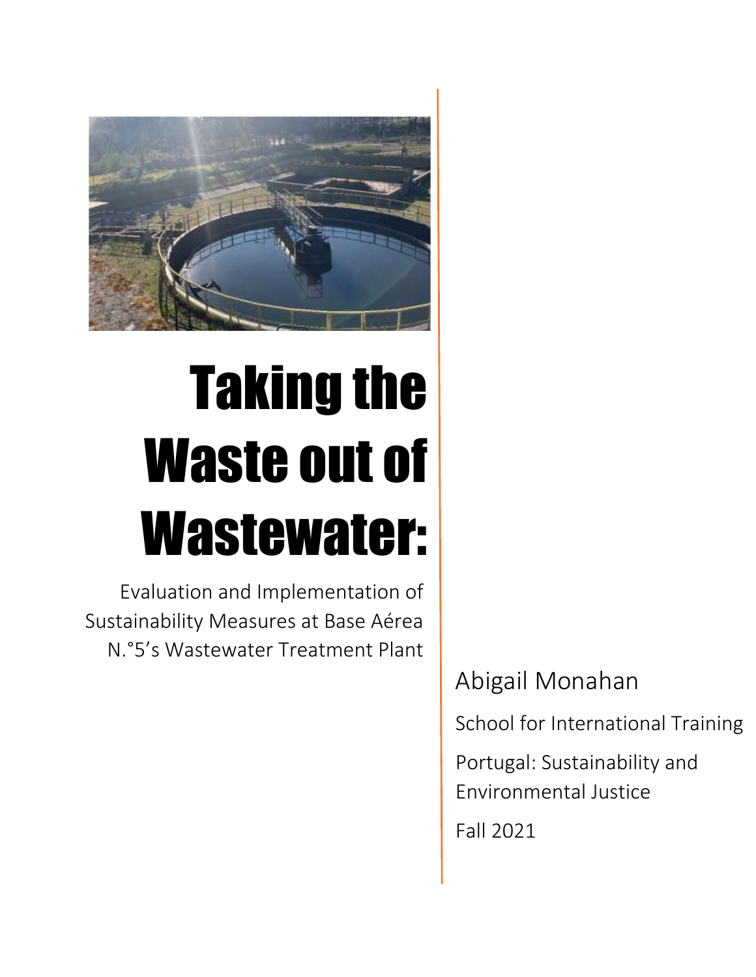

# Taking the Waste out of Wastewater:

Evaluation and Implementation of Sustainability Measures at Base Aérea N.°5's Wastewater Treatment Plant

Abigail Monahan

School for International Training

Portugal: Sustainability and Environmental Justice

Fall 2021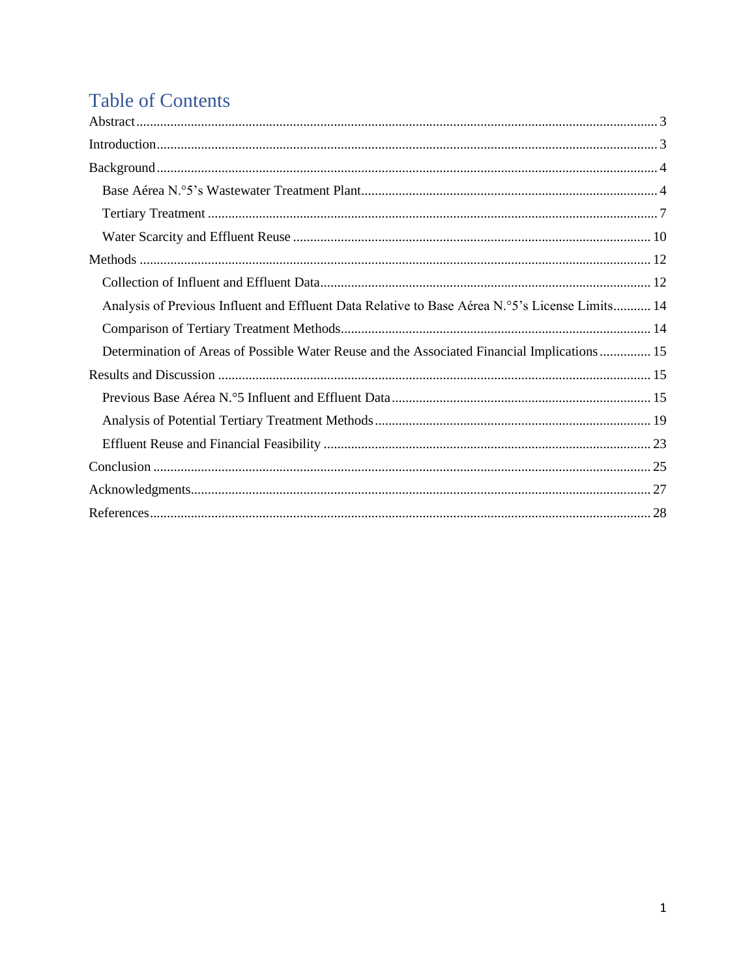# **Table of Contents**

| Analysis of Previous Influent and Effluent Data Relative to Base Aérea N.º5's License Limits 14 |
|-------------------------------------------------------------------------------------------------|
|                                                                                                 |
| Determination of Areas of Possible Water Reuse and the Associated Financial Implications  15    |
|                                                                                                 |
|                                                                                                 |
|                                                                                                 |
|                                                                                                 |
|                                                                                                 |
|                                                                                                 |
|                                                                                                 |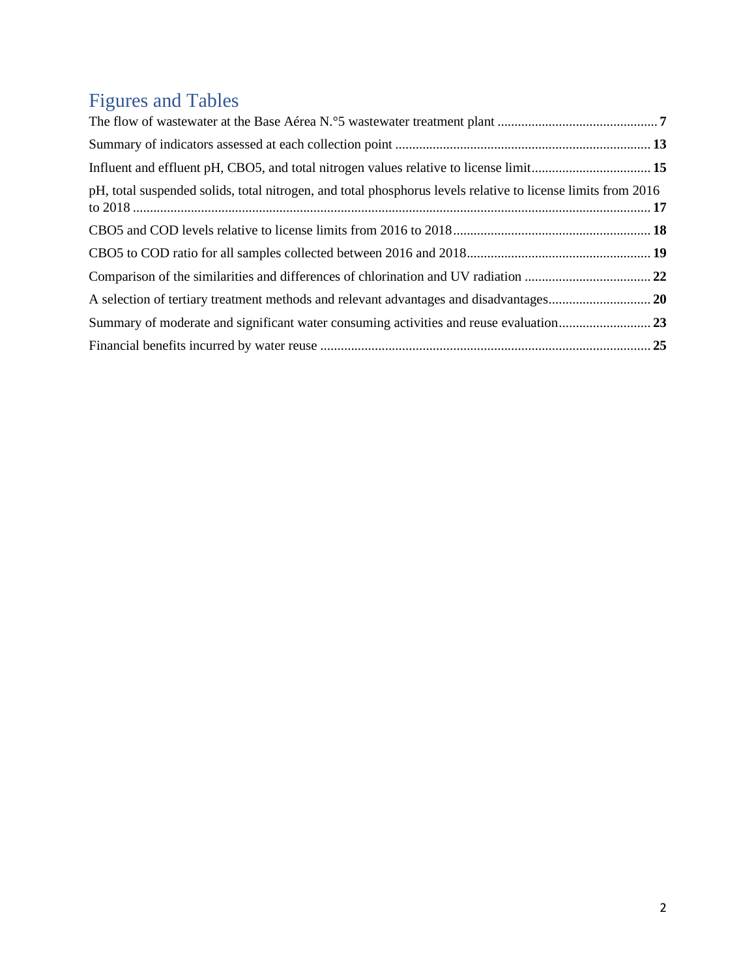# Figures and Tables

| pH, total suspended solids, total nitrogen, and total phosphorus levels relative to license limits from 2016 |  |
|--------------------------------------------------------------------------------------------------------------|--|
|                                                                                                              |  |
|                                                                                                              |  |
|                                                                                                              |  |
|                                                                                                              |  |
|                                                                                                              |  |
|                                                                                                              |  |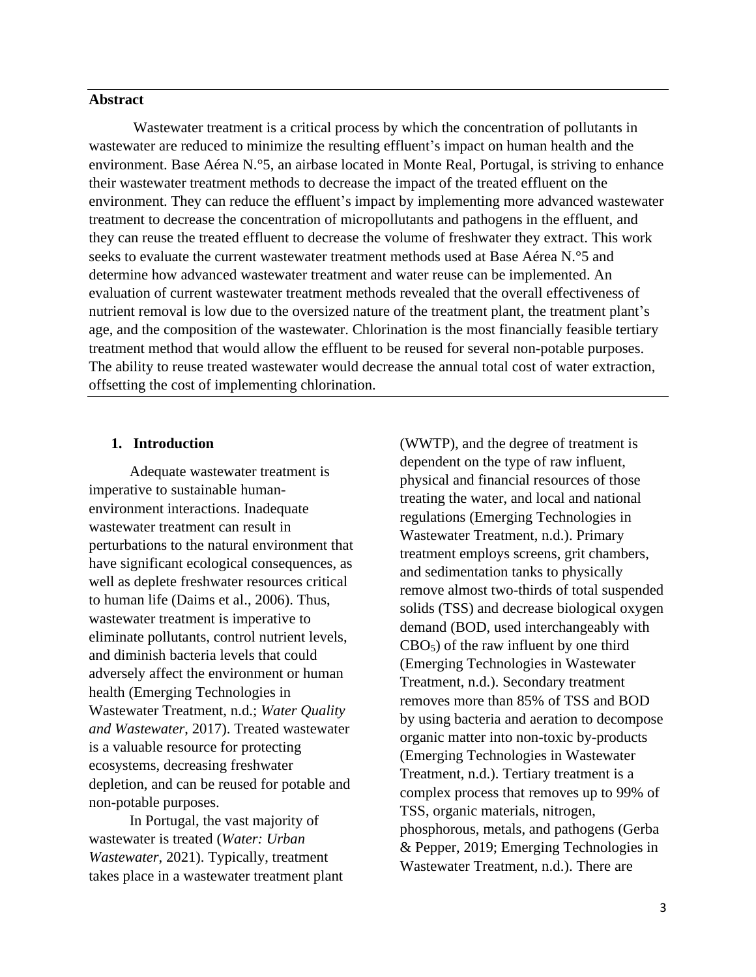#### **Abstract**

Wastewater treatment is a critical process by which the concentration of pollutants in wastewater are reduced to minimize the resulting effluent's impact on human health and the environment. Base Aérea N.°5, an airbase located in Monte Real, Portugal, is striving to enhance their wastewater treatment methods to decrease the impact of the treated effluent on the environment. They can reduce the effluent's impact by implementing more advanced wastewater treatment to decrease the concentration of micropollutants and pathogens in the effluent, and they can reuse the treated effluent to decrease the volume of freshwater they extract. This work seeks to evaluate the current wastewater treatment methods used at Base Aérea N.°5 and determine how advanced wastewater treatment and water reuse can be implemented. An evaluation of current wastewater treatment methods revealed that the overall effectiveness of nutrient removal is low due to the oversized nature of the treatment plant, the treatment plant's age, and the composition of the wastewater. Chlorination is the most financially feasible tertiary treatment method that would allow the effluent to be reused for several non-potable purposes. The ability to reuse treated wastewater would decrease the annual total cost of water extraction, offsetting the cost of implementing chlorination.

#### **1. Introduction**

 Adequate wastewater treatment is imperative to sustainable humanenvironment interactions. Inadequate wastewater treatment can result in perturbations to the natural environment that have significant ecological consequences, as well as deplete freshwater resources critical to human life (Daims et al., 2006). Thus, wastewater treatment is imperative to eliminate pollutants, control nutrient levels, and diminish bacteria levels that could adversely affect the environment or human health (Emerging Technologies in Wastewater Treatment, n.d.; *Water Quality and Wastewater*, 2017). Treated wastewater is a valuable resource for protecting ecosystems, decreasing freshwater depletion, and can be reused for potable and non-potable purposes.

 In Portugal, the vast majority of wastewater is treated (*Water: Urban Wastewater*, 2021). Typically, treatment takes place in a wastewater treatment plant (WWTP), and the degree of treatment is dependent on the type of raw influent, physical and financial resources of those treating the water, and local and national regulations (Emerging Technologies in Wastewater Treatment, n.d.). Primary treatment employs screens, grit chambers, and sedimentation tanks to physically remove almost two-thirds of total suspended solids (TSS) and decrease biological oxygen demand (BOD, used interchangeably with  $CBO<sub>5</sub>$ ) of the raw influent by one third (Emerging Technologies in Wastewater Treatment, n.d.). Secondary treatment removes more than 85% of TSS and BOD by using bacteria and aeration to decompose organic matter into non-toxic by-products (Emerging Technologies in Wastewater Treatment, n.d.). Tertiary treatment is a complex process that removes up to 99% of TSS, organic materials, nitrogen, phosphorous, metals, and pathogens (Gerba & Pepper, 2019; Emerging Technologies in Wastewater Treatment, n.d.). There are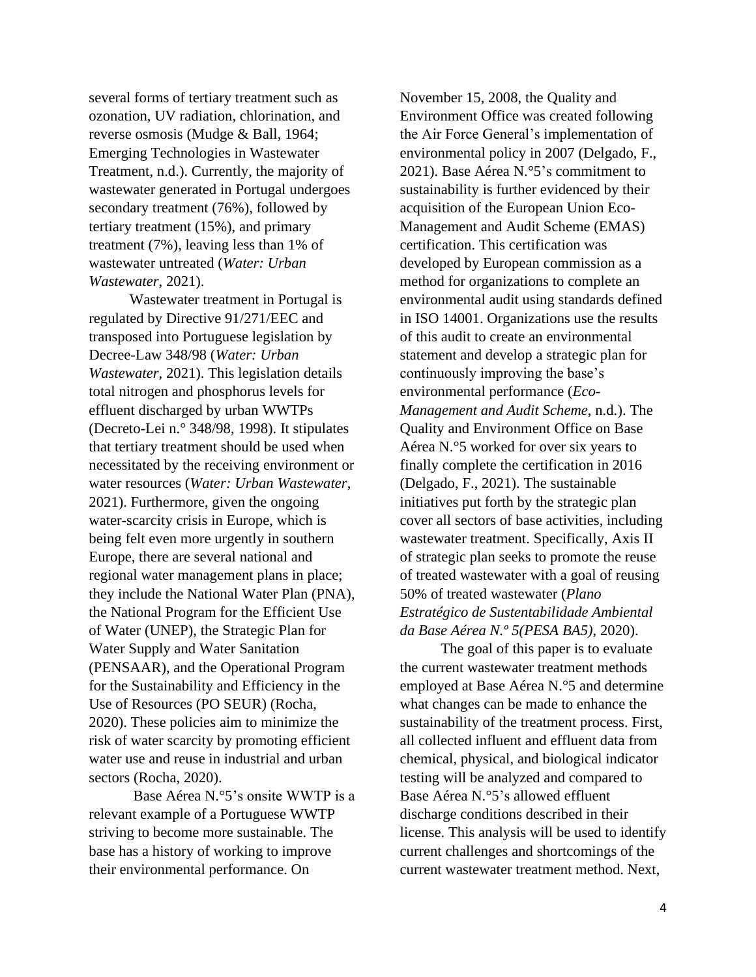several forms of tertiary treatment such as ozonation, UV radiation, chlorination, and reverse osmosis (Mudge & Ball, 1964; Emerging Technologies in Wastewater Treatment, n.d.). Currently, the majority of wastewater generated in Portugal undergoes secondary treatment (76%), followed by tertiary treatment (15%), and primary treatment (7%), leaving less than 1% of wastewater untreated (*Water: Urban Wastewater*, 2021).

 Wastewater treatment in Portugal is regulated by Directive 91/271/EEC and transposed into Portuguese legislation by Decree-Law 348/98 (*Water: Urban Wastewater*, 2021). This legislation details total nitrogen and phosphorus levels for effluent discharged by urban WWTPs (Decreto-Lei n.° 348/98, 1998). It stipulates that tertiary treatment should be used when necessitated by the receiving environment or water resources (*Water: Urban Wastewater*, 2021). Furthermore, given the ongoing water-scarcity crisis in Europe, which is being felt even more urgently in southern Europe, there are several national and regional water management plans in place; they include the National Water Plan (PNA), the National Program for the Efficient Use of Water (UNEP), the Strategic Plan for Water Supply and Water Sanitation (PENSAAR), and the Operational Program for the Sustainability and Efficiency in the Use of Resources (PO SEUR) (Rocha, 2020). These policies aim to minimize the risk of water scarcity by promoting efficient water use and reuse in industrial and urban sectors (Rocha, 2020).

Base Aérea N.°5's onsite WWTP is a relevant example of a Portuguese WWTP striving to become more sustainable. The base has a history of working to improve their environmental performance. On

November 15, 2008, the Quality and Environment Office was created following the Air Force General's implementation of environmental policy in 2007 (Delgado, F., 2021). Base Aérea N.°5's commitment to sustainability is further evidenced by their acquisition of the European Union Eco-Management and Audit Scheme (EMAS) certification. This certification was developed by European commission as a method for organizations to complete an environmental audit using standards defined in ISO 14001. Organizations use the results of this audit to create an environmental statement and develop a strategic plan for continuously improving the base's environmental performance (*Eco-Management and Audit Scheme*, n.d.). The Quality and Environment Office on Base Aérea N.°5 worked for over six years to finally complete the certification in 2016 (Delgado, F., 2021). The sustainable initiatives put forth by the strategic plan cover all sectors of base activities, including wastewater treatment. Specifically, Axis II of strategic plan seeks to promote the reuse of treated wastewater with a goal of reusing 50% of treated wastewater (*Plano Estratégico de Sustentabilidade Ambiental da Base Aérea N.º 5(PESA BA5)*, 2020).

 The goal of this paper is to evaluate the current wastewater treatment methods employed at Base Aérea N.°5 and determine what changes can be made to enhance the sustainability of the treatment process. First, all collected influent and effluent data from chemical, physical, and biological indicator testing will be analyzed and compared to Base Aérea N.°5's allowed effluent discharge conditions described in their license. This analysis will be used to identify current challenges and shortcomings of the current wastewater treatment method. Next,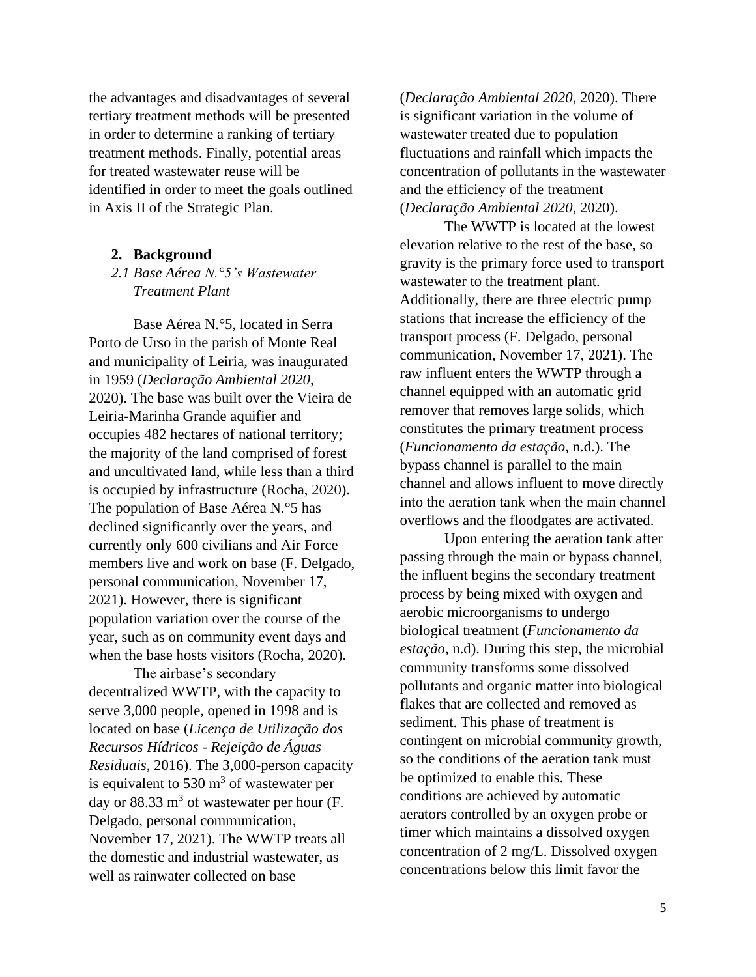the advantages and disadvantages of several tertiary treatment methods will be presented in order to determine a ranking of tertiary treatment methods. Finally, potential areas for treated wastewater reuse will be identified in order to meet the goals outlined in Axis II of the Strategic Plan.

#### **2. Background**

*2.1 Base Aérea N.°5's Wastewater Treatment Plant*

Base Aérea N.°5, located in Serra Porto de Urso in the parish of Monte Real and municipality of Leiria, was inaugurated in 1959 (*Declaração Ambiental 2020*, 2020). The base was built over the Vieira de Leiria-Marinha Grande aquifier and occupies 482 hectares of national territory; the majority of the land comprised of forest and uncultivated land, while less than a third is occupied by infrastructure (Rocha, 2020). The population of Base Aérea N.°5 has declined significantly over the years, and currently only 600 civilians and Air Force members live and work on base (F. Delgado, personal communication, November 17, 2021). However, there is significant population variation over the course of the year, such as on community event days and when the base hosts visitors (Rocha, 2020).

The airbase's secondary decentralized WWTP, with the capacity to serve 3,000 people, opened in 1998 and is located on base (*Licença de Utilização dos Recursos Hídricos - Rejeição de Águas Residuais*, 2016). The 3,000-person capacity is equivalent to 530  $\text{m}^3$  of wastewater per day or 88.33  $m<sup>3</sup>$  of wastewater per hour (F. Delgado, personal communication, November 17, 2021). The WWTP treats all the domestic and industrial wastewater, as well as rainwater collected on base

(*Declaração Ambiental 2020*, 2020). There is significant variation in the volume of wastewater treated due to population fluctuations and rainfall which impacts the concentration of pollutants in the wastewater and the efficiency of the treatment (*Declaração Ambiental 2020*, 2020).

The WWTP is located at the lowest elevation relative to the rest of the base, so gravity is the primary force used to transport wastewater to the treatment plant. Additionally, there are three electric pump stations that increase the efficiency of the transport process (F. Delgado, personal communication, November 17, 2021). The raw influent enters the WWTP through a channel equipped with an automatic grid remover that removes large solids, which constitutes the primary treatment process (*Funcionamento da estação*, n.d.). The bypass channel is parallel to the main channel and allows influent to move directly into the aeration tank when the main channel overflows and the floodgates are activated.

Upon entering the aeration tank after passing through the main or bypass channel, the influent begins the secondary treatment process by being mixed with oxygen and aerobic microorganisms to undergo biological treatment (*Funcionamento da estação*, n.d). During this step, the microbial community transforms some dissolved pollutants and organic matter into biological flakes that are collected and removed as sediment. This phase of treatment is contingent on microbial community growth, so the conditions of the aeration tank must be optimized to enable this. These conditions are achieved by automatic aerators controlled by an oxygen probe or timer which maintains a dissolved oxygen concentration of 2 mg/L. Dissolved oxygen concentrations below this limit favor the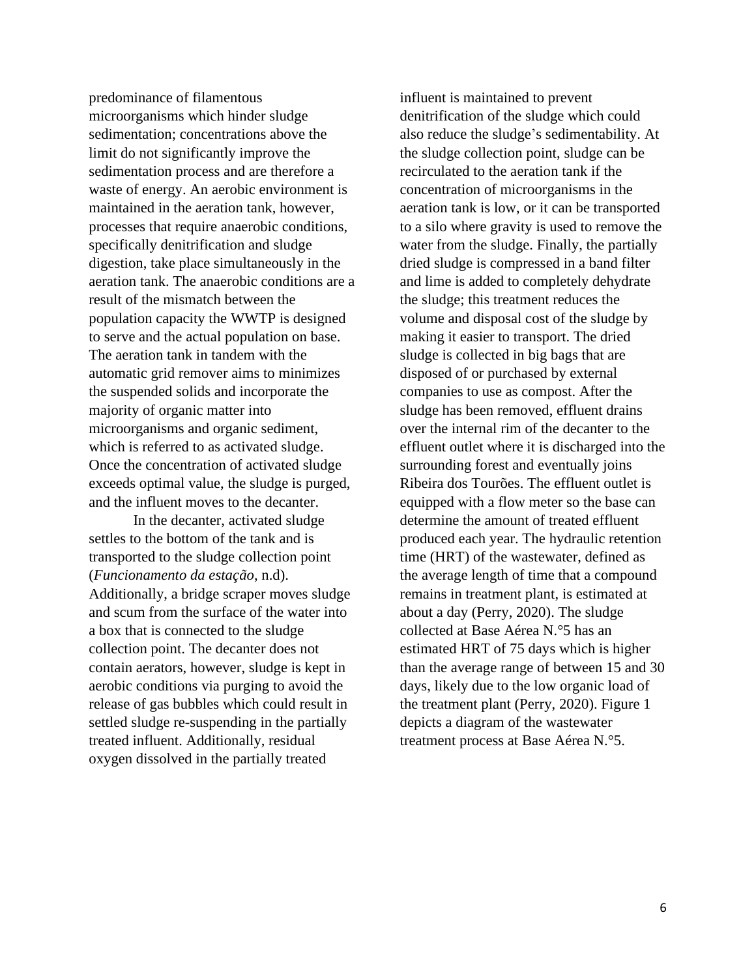predominance of filamentous microorganisms which hinder sludge sedimentation; concentrations above the limit do not significantly improve the sedimentation process and are therefore a waste of energy. An aerobic environment is maintained in the aeration tank, however, processes that require anaerobic conditions, specifically denitrification and sludge digestion, take place simultaneously in the aeration tank. The anaerobic conditions are a result of the mismatch between the population capacity the WWTP is designed to serve and the actual population on base. The aeration tank in tandem with the automatic grid remover aims to minimizes the suspended solids and incorporate the majority of organic matter into microorganisms and organic sediment, which is referred to as activated sludge. Once the concentration of activated sludge exceeds optimal value, the sludge is purged, and the influent moves to the decanter.

In the decanter, activated sludge settles to the bottom of the tank and is transported to the sludge collection point (*Funcionamento da estação*, n.d). Additionally, a bridge scraper moves sludge and scum from the surface of the water into a box that is connected to the sludge collection point. The decanter does not contain aerators, however, sludge is kept in aerobic conditions via purging to avoid the release of gas bubbles which could result in settled sludge re-suspending in the partially treated influent. Additionally, residual oxygen dissolved in the partially treated

influent is maintained to prevent denitrification of the sludge which could also reduce the sludge's sedimentability. At the sludge collection point, sludge can be recirculated to the aeration tank if the concentration of microorganisms in the aeration tank is low, or it can be transported to a silo where gravity is used to remove the water from the sludge. Finally, the partially dried sludge is compressed in a band filter and lime is added to completely dehydrate the sludge; this treatment reduces the volume and disposal cost of the sludge by making it easier to transport. The dried sludge is collected in big bags that are disposed of or purchased by external companies to use as compost. After the sludge has been removed, effluent drains over the internal rim of the decanter to the effluent outlet where it is discharged into the surrounding forest and eventually joins Ribeira dos Tourões. The effluent outlet is equipped with a flow meter so the base can determine the amount of treated effluent produced each year. The hydraulic retention time (HRT) of the wastewater, defined as the average length of time that a compound remains in treatment plant, is estimated at about a day (Perry, 2020). The sludge collected at Base Aérea N.°5 has an estimated HRT of 75 days which is higher than the average range of between 15 and 30 days, likely due to the low organic load of the treatment plant (Perry, 2020). Figure 1 depicts a diagram of the wastewater treatment process at Base Aérea N.°5.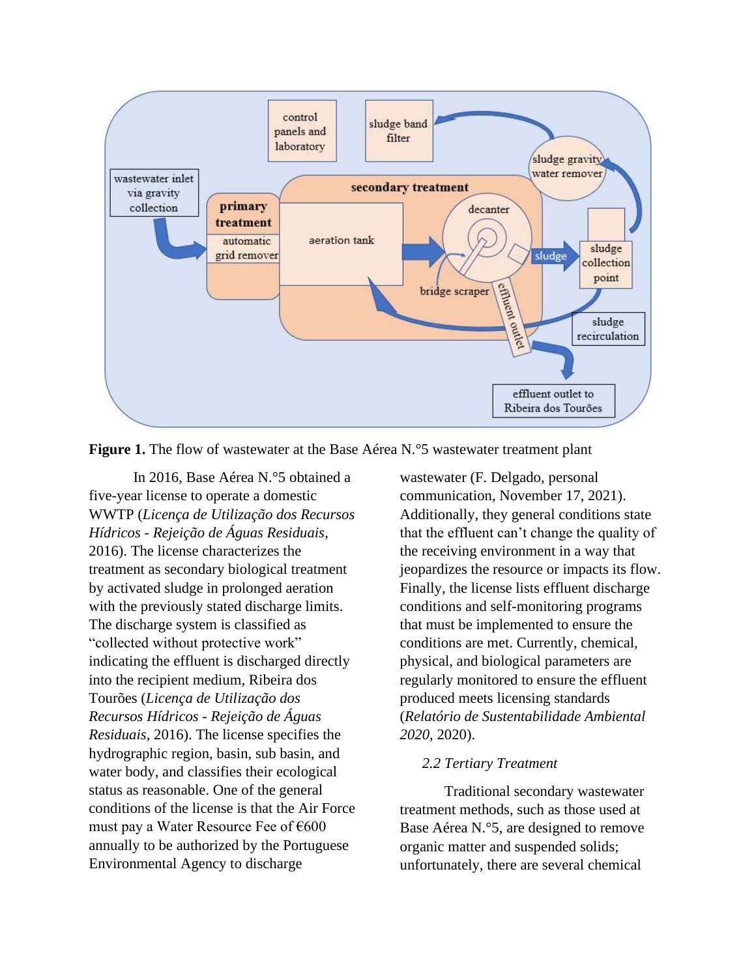

**Figure 1.** The flow of wastewater at the Base Aérea N.<sup>o</sup>5 wastewater treatment plant

In 2016, Base Aérea N.°5 obtained a five-year license to operate a domestic WWTP (*Licença de Utilização dos Recursos Hídricos - Rejeição de Águas Residuais*, 2016). The license characterizes the treatment as secondary biological treatment by activated sludge in prolonged aeration with the previously stated discharge limits. The discharge system is classified as "collected without protective work" indicating the effluent is discharged directly into the recipient medium, Ribeira dos Tourões (*Licença de Utilização dos Recursos Hídricos - Rejeição de Águas Residuais*, 2016). The license specifies the hydrographic region, basin, sub basin, and water body, and classifies their ecological status as reasonable. One of the general conditions of the license is that the Air Force must pay a Water Resource Fee of  $600$ annually to be authorized by the Portuguese Environmental Agency to discharge

wastewater (F. Delgado, personal communication, November 17, 2021). Additionally, they general conditions state that the effluent can't change the quality of the receiving environment in a way that jeopardizes the resource or impacts its flow. Finally, the license lists effluent discharge conditions and self-monitoring programs that must be implemented to ensure the conditions are met. Currently, chemical, physical, and biological parameters are regularly monitored to ensure the effluent produced meets licensing standards (*Relatório de Sustentabilidade Ambiental 2020*, 2020).

## *2.2 Tertiary Treatment*

Traditional secondary wastewater treatment methods, such as those used at Base Aérea N.°5, are designed to remove organic matter and suspended solids; unfortunately, there are several chemical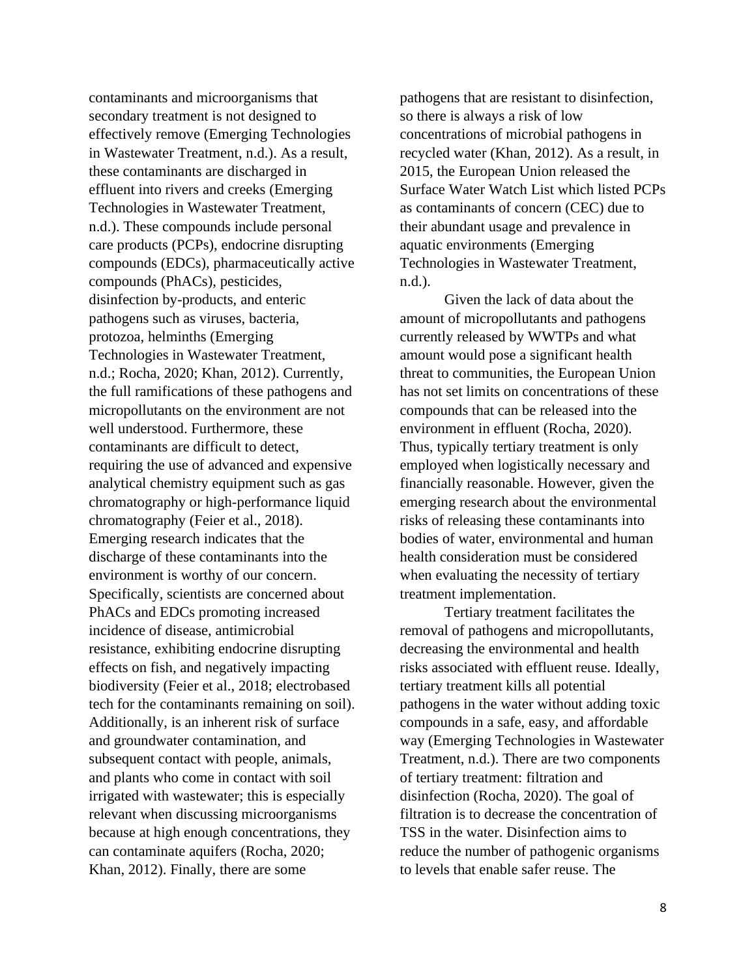contaminants and microorganisms that secondary treatment is not designed to effectively remove (Emerging Technologies in Wastewater Treatment, n.d.). As a result, these contaminants are discharged in effluent into rivers and creeks (Emerging Technologies in Wastewater Treatment, n.d.). These compounds include personal care products (PCPs), endocrine disrupting compounds (EDCs), pharmaceutically active compounds (PhACs), pesticides, disinfection by-products, and enteric pathogens such as viruses, bacteria, protozoa, helminths (Emerging Technologies in Wastewater Treatment, n.d.; Rocha, 2020; Khan, 2012). Currently, the full ramifications of these pathogens and micropollutants on the environment are not well understood. Furthermore, these contaminants are difficult to detect, requiring the use of advanced and expensive analytical chemistry equipment such as gas chromatography or high-performance liquid chromatography (Feier et al., 2018). Emerging research indicates that the discharge of these contaminants into the environment is worthy of our concern. Specifically, scientists are concerned about PhACs and EDCs promoting increased incidence of disease, antimicrobial resistance, exhibiting endocrine disrupting effects on fish, and negatively impacting biodiversity (Feier et al., 2018; electrobased tech for the contaminants remaining on soil). Additionally, is an inherent risk of surface and groundwater contamination, and subsequent contact with people, animals, and plants who come in contact with soil irrigated with wastewater; this is especially relevant when discussing microorganisms because at high enough concentrations, they can contaminate aquifers (Rocha, 2020; Khan, 2012). Finally, there are some

pathogens that are resistant to disinfection, so there is always a risk of low concentrations of microbial pathogens in recycled water (Khan, 2012). As a result, in 2015, the European Union released the Surface Water Watch List which listed PCPs as contaminants of concern (CEC) due to their abundant usage and prevalence in aquatic environments (Emerging Technologies in Wastewater Treatment, n.d.).

Given the lack of data about the amount of micropollutants and pathogens currently released by WWTPs and what amount would pose a significant health threat to communities, the European Union has not set limits on concentrations of these compounds that can be released into the environment in effluent (Rocha, 2020). Thus, typically tertiary treatment is only employed when logistically necessary and financially reasonable. However, given the emerging research about the environmental risks of releasing these contaminants into bodies of water, environmental and human health consideration must be considered when evaluating the necessity of tertiary treatment implementation.

Tertiary treatment facilitates the removal of pathogens and micropollutants, decreasing the environmental and health risks associated with effluent reuse. Ideally, tertiary treatment kills all potential pathogens in the water without adding toxic compounds in a safe, easy, and affordable way (Emerging Technologies in Wastewater Treatment, n.d.). There are two components of tertiary treatment: filtration and disinfection (Rocha, 2020). The goal of filtration is to decrease the concentration of TSS in the water. Disinfection aims to reduce the number of pathogenic organisms to levels that enable safer reuse. The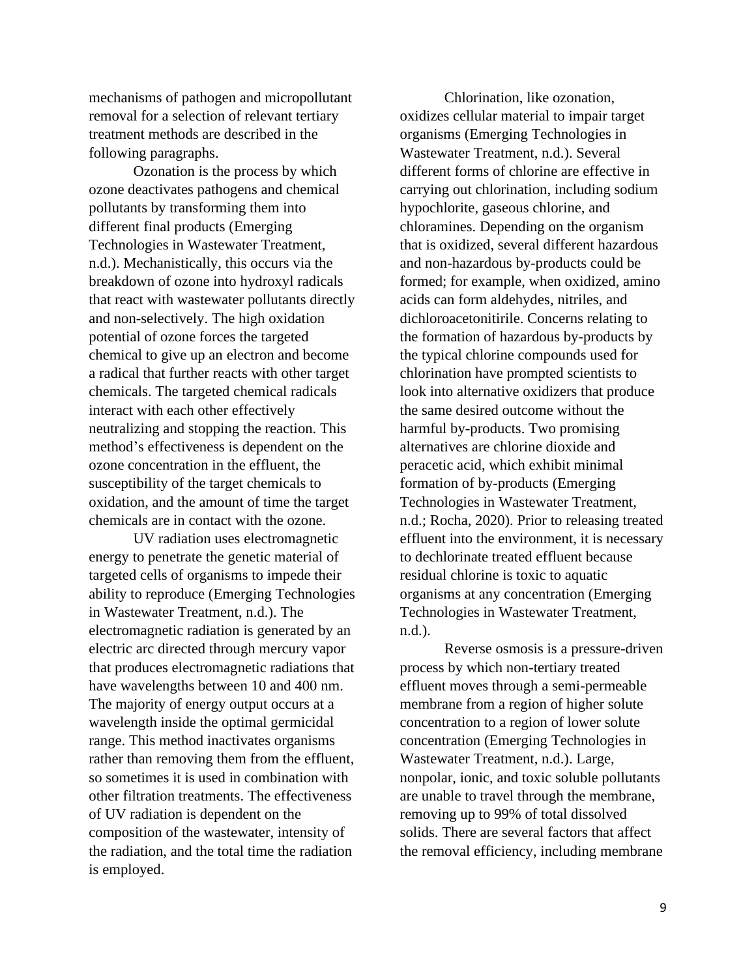mechanisms of pathogen and micropollutant removal for a selection of relevant tertiary treatment methods are described in the following paragraphs.

Ozonation is the process by which ozone deactivates pathogens and chemical pollutants by transforming them into different final products (Emerging Technologies in Wastewater Treatment, n.d.). Mechanistically, this occurs via the breakdown of ozone into hydroxyl radicals that react with wastewater pollutants directly and non-selectively. The high oxidation potential of ozone forces the targeted chemical to give up an electron and become a radical that further reacts with other target chemicals. The targeted chemical radicals interact with each other effectively neutralizing and stopping the reaction. This method's effectiveness is dependent on the ozone concentration in the effluent, the susceptibility of the target chemicals to oxidation, and the amount of time the target chemicals are in contact with the ozone.

UV radiation uses electromagnetic energy to penetrate the genetic material of targeted cells of organisms to impede their ability to reproduce (Emerging Technologies in Wastewater Treatment, n.d.). The electromagnetic radiation is generated by an electric arc directed through mercury vapor that produces electromagnetic radiations that have wavelengths between 10 and 400 nm. The majority of energy output occurs at a wavelength inside the optimal germicidal range. This method inactivates organisms rather than removing them from the effluent, so sometimes it is used in combination with other filtration treatments. The effectiveness of UV radiation is dependent on the composition of the wastewater, intensity of the radiation, and the total time the radiation is employed.

Chlorination, like ozonation, oxidizes cellular material to impair target organisms (Emerging Technologies in Wastewater Treatment, n.d.). Several different forms of chlorine are effective in carrying out chlorination, including sodium hypochlorite, gaseous chlorine, and chloramines. Depending on the organism that is oxidized, several different hazardous and non-hazardous by-products could be formed; for example, when oxidized, amino acids can form aldehydes, nitriles, and dichloroacetonitirile. Concerns relating to the formation of hazardous by-products by the typical chlorine compounds used for chlorination have prompted scientists to look into alternative oxidizers that produce the same desired outcome without the harmful by-products. Two promising alternatives are chlorine dioxide and peracetic acid, which exhibit minimal formation of by-products (Emerging Technologies in Wastewater Treatment, n.d.; Rocha, 2020). Prior to releasing treated effluent into the environment, it is necessary to dechlorinate treated effluent because residual chlorine is toxic to aquatic organisms at any concentration (Emerging Technologies in Wastewater Treatment, n.d.).

Reverse osmosis is a pressure-driven process by which non-tertiary treated effluent moves through a semi-permeable membrane from a region of higher solute concentration to a region of lower solute concentration (Emerging Technologies in Wastewater Treatment, n.d.). Large, nonpolar, ionic, and toxic soluble pollutants are unable to travel through the membrane, removing up to 99% of total dissolved solids. There are several factors that affect the removal efficiency, including membrane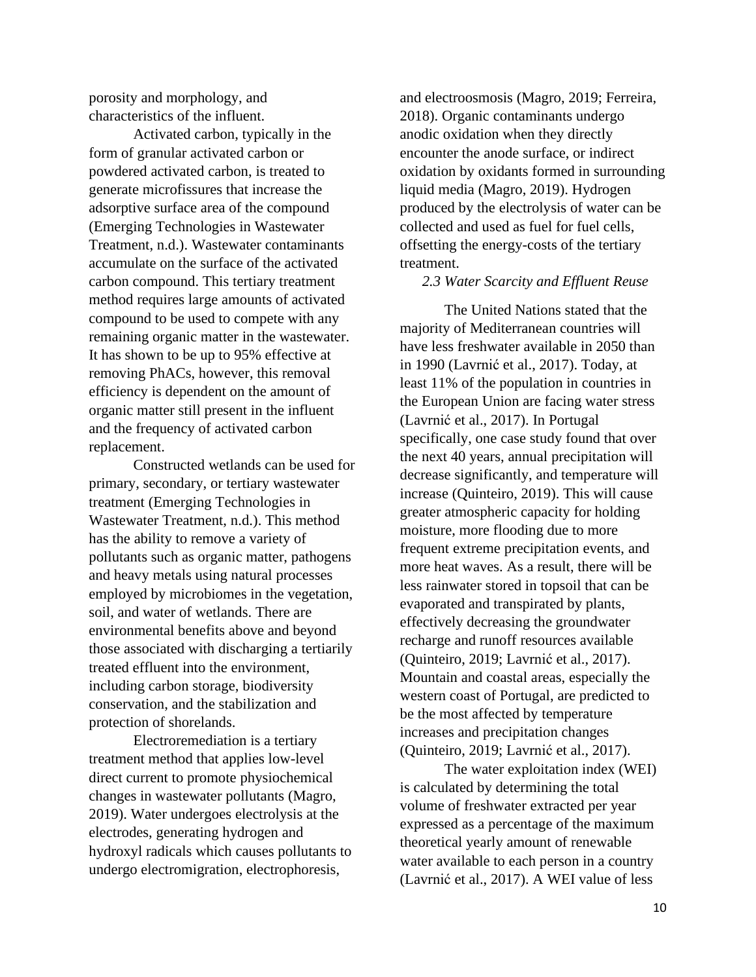porosity and morphology, and characteristics of the influent.

Activated carbon, typically in the form of granular activated carbon or powdered activated carbon, is treated to generate microfissures that increase the adsorptive surface area of the compound (Emerging Technologies in Wastewater Treatment, n.d.). Wastewater contaminants accumulate on the surface of the activated carbon compound. This tertiary treatment method requires large amounts of activated compound to be used to compete with any remaining organic matter in the wastewater. It has shown to be up to 95% effective at removing PhACs, however, this removal efficiency is dependent on the amount of organic matter still present in the influent and the frequency of activated carbon replacement.

Constructed wetlands can be used for primary, secondary, or tertiary wastewater treatment (Emerging Technologies in Wastewater Treatment, n.d.). This method has the ability to remove a variety of pollutants such as organic matter, pathogens and heavy metals using natural processes employed by microbiomes in the vegetation, soil, and water of wetlands. There are environmental benefits above and beyond those associated with discharging a tertiarily treated effluent into the environment, including carbon storage, biodiversity conservation, and the stabilization and protection of shorelands.

Electroremediation is a tertiary treatment method that applies low-level direct current to promote physiochemical changes in wastewater pollutants (Magro, 2019). Water undergoes electrolysis at the electrodes, generating hydrogen and hydroxyl radicals which causes pollutants to undergo electromigration, electrophoresis,

and electroosmosis (Magro, 2019; Ferreira, 2018). Organic contaminants undergo anodic oxidation when they directly encounter the anode surface, or indirect oxidation by oxidants formed in surrounding liquid media (Magro, 2019). Hydrogen produced by the electrolysis of water can be collected and used as fuel for fuel cells, offsetting the energy-costs of the tertiary treatment.

#### *2.3 Water Scarcity and Effluent Reuse*

The United Nations stated that the majority of Mediterranean countries will have less freshwater available in 2050 than in 1990 (Lavrnić et al., 2017). Today, at least 11% of the population in countries in the European Union are facing water stress (Lavrnić et al., 2017). In Portugal specifically, one case study found that over the next 40 years, annual precipitation will decrease significantly, and temperature will increase (Quinteiro, 2019). This will cause greater atmospheric capacity for holding moisture, more flooding due to more frequent extreme precipitation events, and more heat waves. As a result, there will be less rainwater stored in topsoil that can be evaporated and transpirated by plants, effectively decreasing the groundwater recharge and runoff resources available (Quinteiro, 2019; Lavrnić et al., 2017). Mountain and coastal areas, especially the western coast of Portugal, are predicted to be the most affected by temperature increases and precipitation changes (Quinteiro, 2019; Lavrnić et al., 2017).

The water exploitation index (WEI) is calculated by determining the total volume of freshwater extracted per year expressed as a percentage of the maximum theoretical yearly amount of renewable water available to each person in a country (Lavrnić et al., 2017). A WEI value of less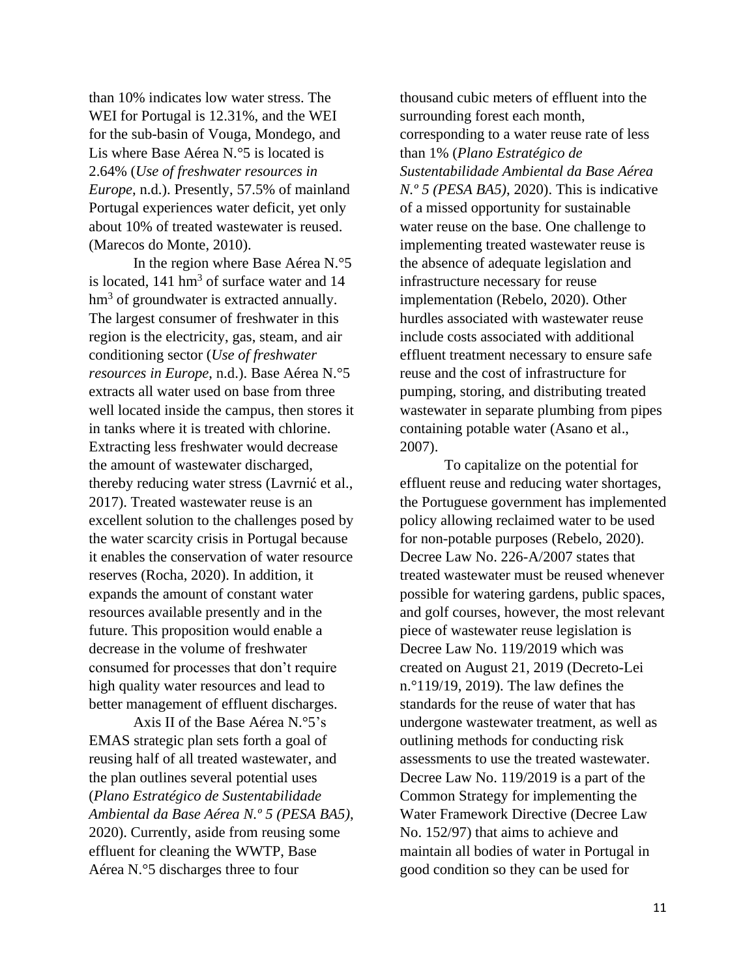than 10% indicates low water stress. The WEI for Portugal is 12.31%, and the WEI for the sub-basin of Vouga, Mondego, and Lis where Base Aérea N.°5 is located is 2.64% (*Use of freshwater resources in Europe*, n.d.). Presently, 57.5% of mainland Portugal experiences water deficit, yet only about 10% of treated wastewater is reused. (Marecos do Monte, 2010).

In the region where Base Aérea N.°5 is located,  $141 \text{ hm}^3$  of surface water and  $14$ hm<sup>3</sup> of groundwater is extracted annually. The largest consumer of freshwater in this region is the electricity, gas, steam, and air conditioning sector (*Use of freshwater resources in Europe*, n.d.). Base Aérea N.°5 extracts all water used on base from three well located inside the campus, then stores it in tanks where it is treated with chlorine. Extracting less freshwater would decrease the amount of wastewater discharged, thereby reducing water stress (Lavrnić et al., 2017). Treated wastewater reuse is an excellent solution to the challenges posed by the water scarcity crisis in Portugal because it enables the conservation of water resource reserves (Rocha, 2020). In addition, it expands the amount of constant water resources available presently and in the future. This proposition would enable a decrease in the volume of freshwater consumed for processes that don't require high quality water resources and lead to better management of effluent discharges.

Axis II of the Base Aérea N.°5's EMAS strategic plan sets forth a goal of reusing half of all treated wastewater, and the plan outlines several potential uses (*Plano Estratégico de Sustentabilidade Ambiental da Base Aérea N.º 5 (PESA BA5)*, 2020). Currently, aside from reusing some effluent for cleaning the WWTP, Base Aérea N.°5 discharges three to four

thousand cubic meters of effluent into the surrounding forest each month, corresponding to a water reuse rate of less than 1% (*Plano Estratégico de Sustentabilidade Ambiental da Base Aérea N.º 5 (PESA BA5)*, 2020). This is indicative of a missed opportunity for sustainable water reuse on the base. One challenge to implementing treated wastewater reuse is the absence of adequate legislation and infrastructure necessary for reuse implementation (Rebelo, 2020). Other hurdles associated with wastewater reuse include costs associated with additional effluent treatment necessary to ensure safe reuse and the cost of infrastructure for pumping, storing, and distributing treated wastewater in separate plumbing from pipes containing potable water (Asano et al., 2007).

To capitalize on the potential for effluent reuse and reducing water shortages, the Portuguese government has implemented policy allowing reclaimed water to be used for non-potable purposes (Rebelo, 2020). Decree Law No. 226-A/2007 states that treated wastewater must be reused whenever possible for watering gardens, public spaces, and golf courses, however, the most relevant piece of wastewater reuse legislation is Decree Law No. 119/2019 which was created on August 21, 2019 (Decreto-Lei n.°119/19, 2019). The law defines the standards for the reuse of water that has undergone wastewater treatment, as well as outlining methods for conducting risk assessments to use the treated wastewater. Decree Law No. 119/2019 is a part of the Common Strategy for implementing the Water Framework Directive (Decree Law No. 152/97) that aims to achieve and maintain all bodies of water in Portugal in good condition so they can be used for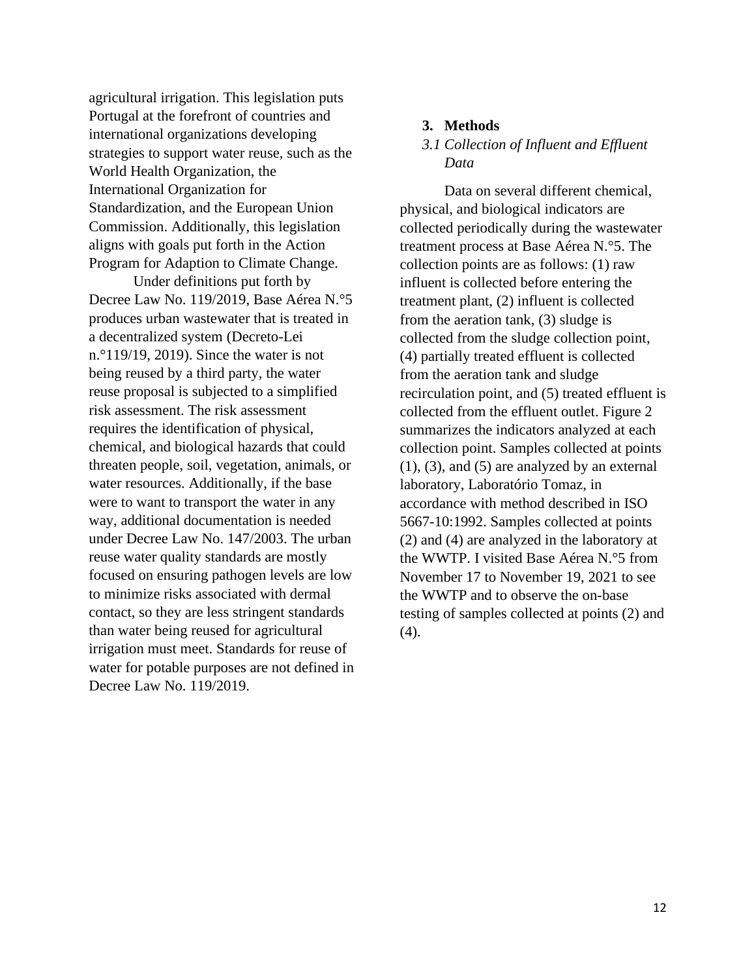agricultural irrigation. This legislation puts Portugal at the forefront of countries and international organizations developing strategies to support water reuse, such as the World Health Organization, the International Organization for Standardization, and the European Union Commission. Additionally, this legislation aligns with goals put forth in the Action Program for Adaption to Climate Change.

Under definitions put forth by Decree Law No. 119/2019, Base Aérea N.°5 produces urban wastewater that is treated in a decentralized system (Decreto-Lei n.°119/19, 2019). Since the water is not being reused by a third party, the water reuse proposal is subjected to a simplified risk assessment. The risk assessment requires the identification of physical, chemical, and biological hazards that could threaten people, soil, vegetation, animals, or water resources. Additionally, if the base were to want to transport the water in any way, additional documentation is needed under Decree Law No. 147/2003. The urban reuse water quality standards are mostly focused on ensuring pathogen levels are low to minimize risks associated with dermal contact, so they are less stringent standards than water being reused for agricultural irrigation must meet. Standards for reuse of water for potable purposes are not defined in Decree Law No. 119/2019.

#### **3. Methods**

# *3.1 Collection of Influent and Effluent Data*

Data on several different chemical, physical, and biological indicators are collected periodically during the wastewater treatment process at Base Aérea N.°5. The collection points are as follows: (1) raw influent is collected before entering the treatment plant, (2) influent is collected from the aeration tank, (3) sludge is collected from the sludge collection point, (4) partially treated effluent is collected from the aeration tank and sludge recirculation point, and (5) treated effluent is collected from the effluent outlet. Figure 2 summarizes the indicators analyzed at each collection point. Samples collected at points (1), (3), and (5) are analyzed by an external laboratory, Laboratório Tomaz, in accordance with method described in ISO 5667-10:1992. Samples collected at points (2) and (4) are analyzed in the laboratory at the WWTP. I visited Base Aérea N.°5 from November 17 to November 19, 2021 to see the WWTP and to observe the on-base testing of samples collected at points (2) and (4).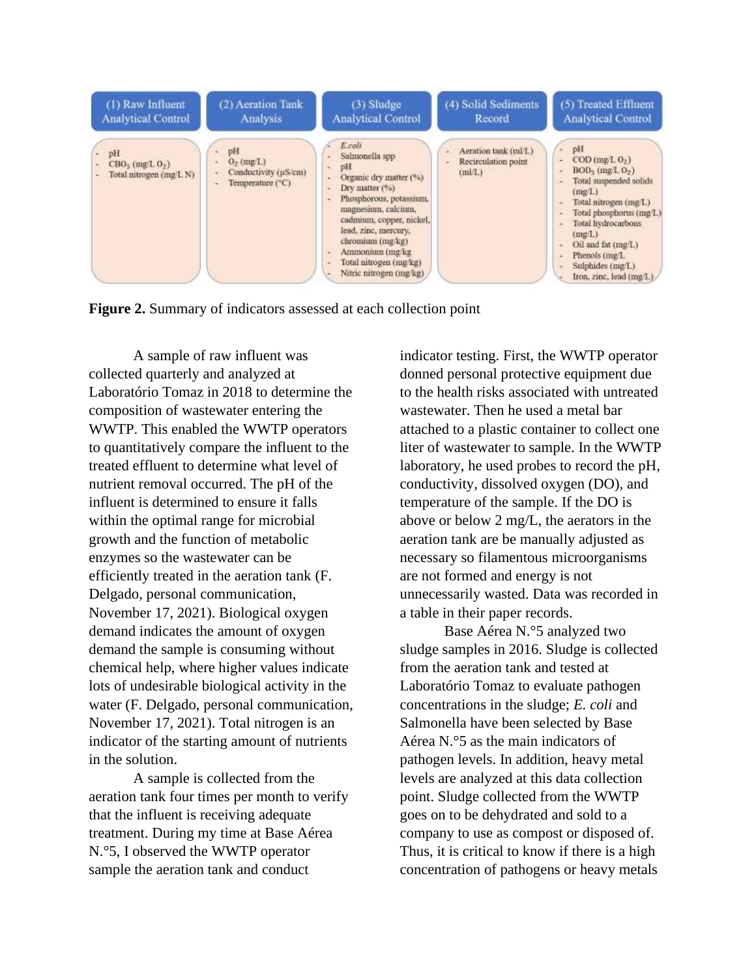

**Figure 2.** Summary of indicators assessed at each collection point

A sample of raw influent was collected quarterly and analyzed at Laboratório Tomaz in 2018 to determine the composition of wastewater entering the WWTP. This enabled the WWTP operators to quantitatively compare the influent to the treated effluent to determine what level of nutrient removal occurred. The pH of the influent is determined to ensure it falls within the optimal range for microbial growth and the function of metabolic enzymes so the wastewater can be efficiently treated in the aeration tank (F. Delgado, personal communication, November 17, 2021). Biological oxygen demand indicates the amount of oxygen demand the sample is consuming without chemical help, where higher values indicate lots of undesirable biological activity in the water (F. Delgado, personal communication, November 17, 2021). Total nitrogen is an indicator of the starting amount of nutrients in the solution.

A sample is collected from the aeration tank four times per month to verify that the influent is receiving adequate treatment. During my time at Base Aérea N.°5, I observed the WWTP operator sample the aeration tank and conduct

indicator testing. First, the WWTP operator donned personal protective equipment due to the health risks associated with untreated wastewater. Then he used a metal bar attached to a plastic container to collect one liter of wastewater to sample. In the WWTP laboratory, he used probes to record the pH, conductivity, dissolved oxygen (DO), and temperature of the sample. If the DO is above or below 2 mg/L, the aerators in the aeration tank are be manually adjusted as necessary so filamentous microorganisms are not formed and energy is not unnecessarily wasted. Data was recorded in a table in their paper records.

Base Aérea N.°5 analyzed two sludge samples in 2016. Sludge is collected from the aeration tank and tested at Laboratório Tomaz to evaluate pathogen concentrations in the sludge; *E. coli* and Salmonella have been selected by Base Aérea N.°5 as the main indicators of pathogen levels. In addition, heavy metal levels are analyzed at this data collection point. Sludge collected from the WWTP goes on to be dehydrated and sold to a company to use as compost or disposed of. Thus, it is critical to know if there is a high concentration of pathogens or heavy metals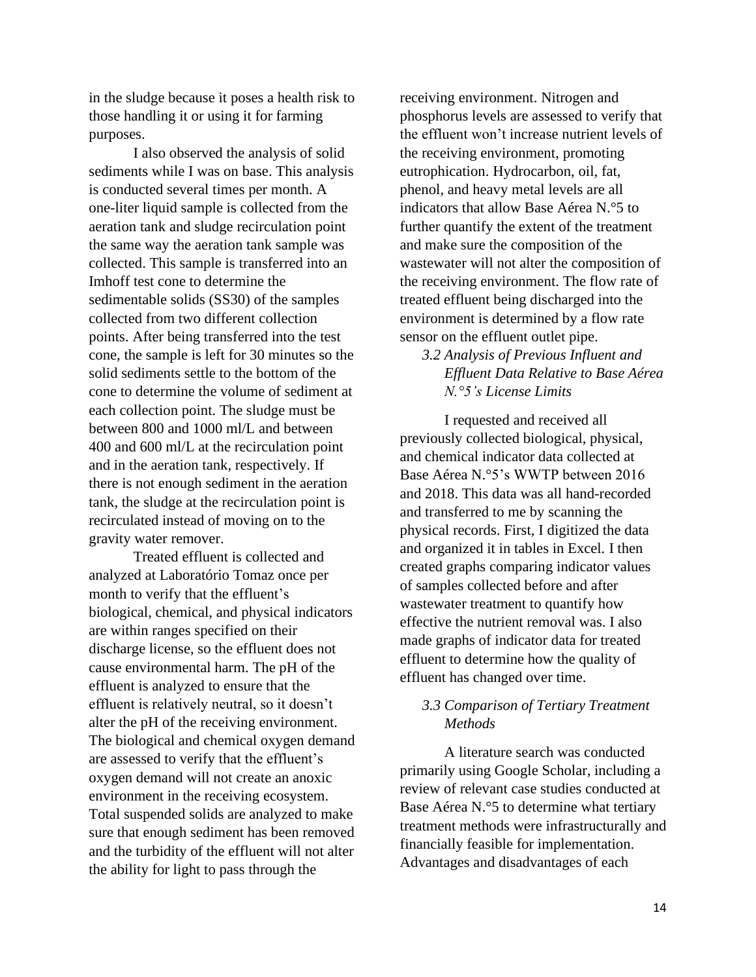in the sludge because it poses a health risk to those handling it or using it for farming purposes.

I also observed the analysis of solid sediments while I was on base. This analysis is conducted several times per month. A one-liter liquid sample is collected from the aeration tank and sludge recirculation point the same way the aeration tank sample was collected. This sample is transferred into an Imhoff test cone to determine the sedimentable solids (SS30) of the samples collected from two different collection points. After being transferred into the test cone, the sample is left for 30 minutes so the solid sediments settle to the bottom of the cone to determine the volume of sediment at each collection point. The sludge must be between 800 and 1000 ml/L and between 400 and 600 ml/L at the recirculation point and in the aeration tank, respectively. If there is not enough sediment in the aeration tank, the sludge at the recirculation point is recirculated instead of moving on to the gravity water remover.

Treated effluent is collected and analyzed at Laboratório Tomaz once per month to verify that the effluent's biological, chemical, and physical indicators are within ranges specified on their discharge license, so the effluent does not cause environmental harm. The pH of the effluent is analyzed to ensure that the effluent is relatively neutral, so it doesn't alter the pH of the receiving environment. The biological and chemical oxygen demand are assessed to verify that the effluent's oxygen demand will not create an anoxic environment in the receiving ecosystem. Total suspended solids are analyzed to make sure that enough sediment has been removed and the turbidity of the effluent will not alter the ability for light to pass through the

receiving environment. Nitrogen and phosphorus levels are assessed to verify that the effluent won't increase nutrient levels of the receiving environment, promoting eutrophication. Hydrocarbon, oil, fat, phenol, and heavy metal levels are all indicators that allow Base Aérea N.°5 to further quantify the extent of the treatment and make sure the composition of the wastewater will not alter the composition of the receiving environment. The flow rate of treated effluent being discharged into the environment is determined by a flow rate sensor on the effluent outlet pipe.

*3.2 Analysis of Previous Influent and Effluent Data Relative to Base Aérea N.°5's License Limits*

I requested and received all previously collected biological, physical, and chemical indicator data collected at Base Aérea N.°5's WWTP between 2016 and 2018. This data was all hand-recorded and transferred to me by scanning the physical records. First, I digitized the data and organized it in tables in Excel. I then created graphs comparing indicator values of samples collected before and after wastewater treatment to quantify how effective the nutrient removal was. I also made graphs of indicator data for treated effluent to determine how the quality of effluent has changed over time.

## *3.3 Comparison of Tertiary Treatment Methods*

A literature search was conducted primarily using Google Scholar, including a review of relevant case studies conducted at Base Aérea N.°5 to determine what tertiary treatment methods were infrastructurally and financially feasible for implementation. Advantages and disadvantages of each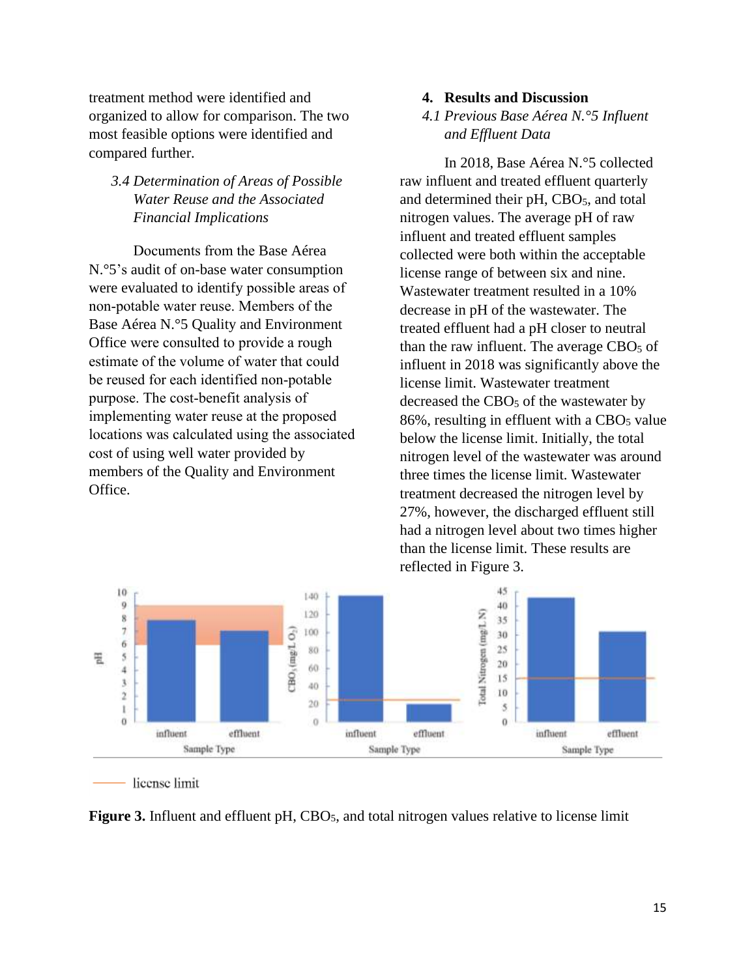treatment method were identified and organized to allow for comparison. The two most feasible options were identified and compared further.

# *3.4 Determination of Areas of Possible Water Reuse and the Associated Financial Implications*

Documents from the Base Aérea N.°5's audit of on-base water consumption were evaluated to identify possible areas of non-potable water reuse. Members of the Base Aérea N.°5 Quality and Environment Office were consulted to provide a rough estimate of the volume of water that could be reused for each identified non-potable purpose. The cost-benefit analysis of implementing water reuse at the proposed locations was calculated using the associated cost of using well water provided by members of the Quality and Environment Office.

#### **4. Results and Discussion**

# *4.1 Previous Base Aérea N.°5 Influent and Effluent Data*

In 2018, Base Aérea N.°5 collected raw influent and treated effluent quarterly and determined their  $pH$ , CBO<sub>5</sub>, and total nitrogen values. The average pH of raw influent and treated effluent samples collected were both within the acceptable license range of between six and nine. Wastewater treatment resulted in a 10% decrease in pH of the wastewater. The treated effluent had a pH closer to neutral than the raw influent. The average  $CBO<sub>5</sub>$  of influent in 2018 was significantly above the license limit. Wastewater treatment decreased the CBO<sub>5</sub> of the wastewater by  $86\%$ , resulting in effluent with a CBO<sub>5</sub> value below the license limit. Initially, the total nitrogen level of the wastewater was around three times the license limit. Wastewater treatment decreased the nitrogen level by 27%, however, the discharged effluent still had a nitrogen level about two times higher than the license limit. These results are reflected in Figure 3.



license limit

**Figure 3.** Influent and effluent pH, CBO<sub>5</sub>, and total nitrogen values relative to license limit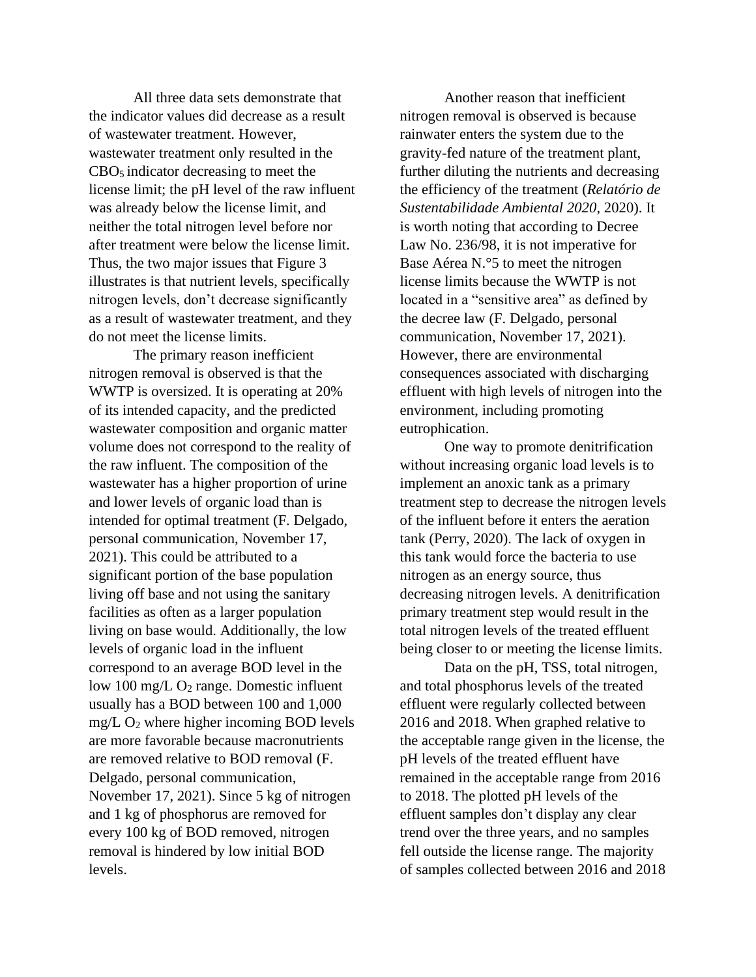All three data sets demonstrate that the indicator values did decrease as a result of wastewater treatment. However, wastewater treatment only resulted in the CBO5 indicator decreasing to meet the license limit; the pH level of the raw influent was already below the license limit, and neither the total nitrogen level before nor after treatment were below the license limit. Thus, the two major issues that Figure 3 illustrates is that nutrient levels, specifically nitrogen levels, don't decrease significantly as a result of wastewater treatment, and they do not meet the license limits.

The primary reason inefficient nitrogen removal is observed is that the WWTP is oversized. It is operating at 20% of its intended capacity, and the predicted wastewater composition and organic matter volume does not correspond to the reality of the raw influent. The composition of the wastewater has a higher proportion of urine and lower levels of organic load than is intended for optimal treatment (F. Delgado, personal communication, November 17, 2021). This could be attributed to a significant portion of the base population living off base and not using the sanitary facilities as often as a larger population living on base would. Additionally, the low levels of organic load in the influent correspond to an average BOD level in the low 100 mg/L O<sup>2</sup> range. Domestic influent usually has a BOD between 100 and 1,000  $mg/L O<sub>2</sub>$  where higher incoming BOD levels are more favorable because macronutrients are removed relative to BOD removal (F. Delgado, personal communication, November 17, 2021). Since 5 kg of nitrogen and 1 kg of phosphorus are removed for every 100 kg of BOD removed, nitrogen removal is hindered by low initial BOD levels.

Another reason that inefficient nitrogen removal is observed is because rainwater enters the system due to the gravity-fed nature of the treatment plant, further diluting the nutrients and decreasing the efficiency of the treatment (*Relatório de Sustentabilidade Ambiental 2020*, 2020). It is worth noting that according to Decree Law No. 236/98, it is not imperative for Base Aérea N.°5 to meet the nitrogen license limits because the WWTP is not located in a "sensitive area" as defined by the decree law (F. Delgado, personal communication, November 17, 2021). However, there are environmental consequences associated with discharging effluent with high levels of nitrogen into the environment, including promoting eutrophication.

One way to promote denitrification without increasing organic load levels is to implement an anoxic tank as a primary treatment step to decrease the nitrogen levels of the influent before it enters the aeration tank (Perry, 2020). The lack of oxygen in this tank would force the bacteria to use nitrogen as an energy source, thus decreasing nitrogen levels. A denitrification primary treatment step would result in the total nitrogen levels of the treated effluent being closer to or meeting the license limits.

Data on the pH, TSS, total nitrogen, and total phosphorus levels of the treated effluent were regularly collected between 2016 and 2018. When graphed relative to the acceptable range given in the license, the pH levels of the treated effluent have remained in the acceptable range from 2016 to 2018. The plotted pH levels of the effluent samples don't display any clear trend over the three years, and no samples fell outside the license range. The majority of samples collected between 2016 and 2018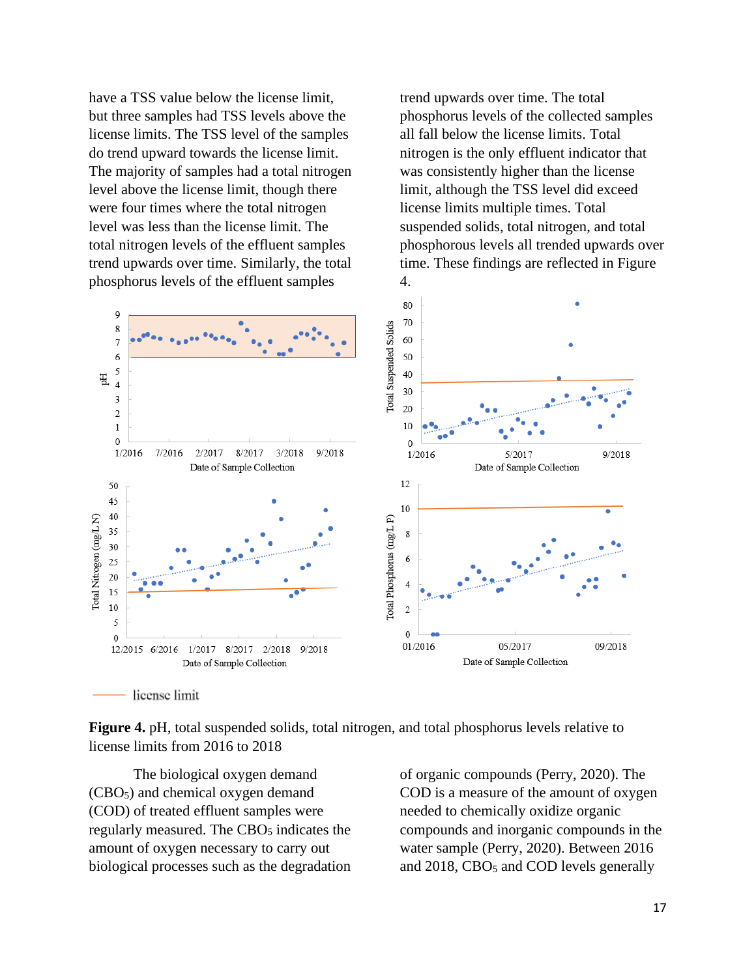have a TSS value below the license limit, but three samples had TSS levels above the license limits. The TSS level of the samples do trend upward towards the license limit. The majority of samples had a total nitrogen level above the license limit, though there were four times where the total nitrogen level was less than the license limit. The total nitrogen levels of the effluent samples trend upwards over time. Similarly, the total phosphorus levels of the effluent samples

trend upwards over time. The total phosphorus levels of the collected samples all fall below the license limits. Total nitrogen is the only effluent indicator that was consistently higher than the license limit, although the TSS level did exceed license limits multiple times. Total suspended solids, total nitrogen, and total phosphorous levels all trended upwards over time. These findings are reflected in Figure 4.



**Figure 4.** pH, total suspended solids, total nitrogen, and total phosphorus levels relative to license limits from 2016 to 2018

The biological oxygen demand (CBO5) and chemical oxygen demand (COD) of treated effluent samples were regularly measured. The CBO<sub>5</sub> indicates the amount of oxygen necessary to carry out biological processes such as the degradation of organic compounds (Perry, 2020). The COD is a measure of the amount of oxygen needed to chemically oxidize organic compounds and inorganic compounds in the water sample (Perry, 2020). Between 2016 and 2018, CBO<sub>5</sub> and COD levels generally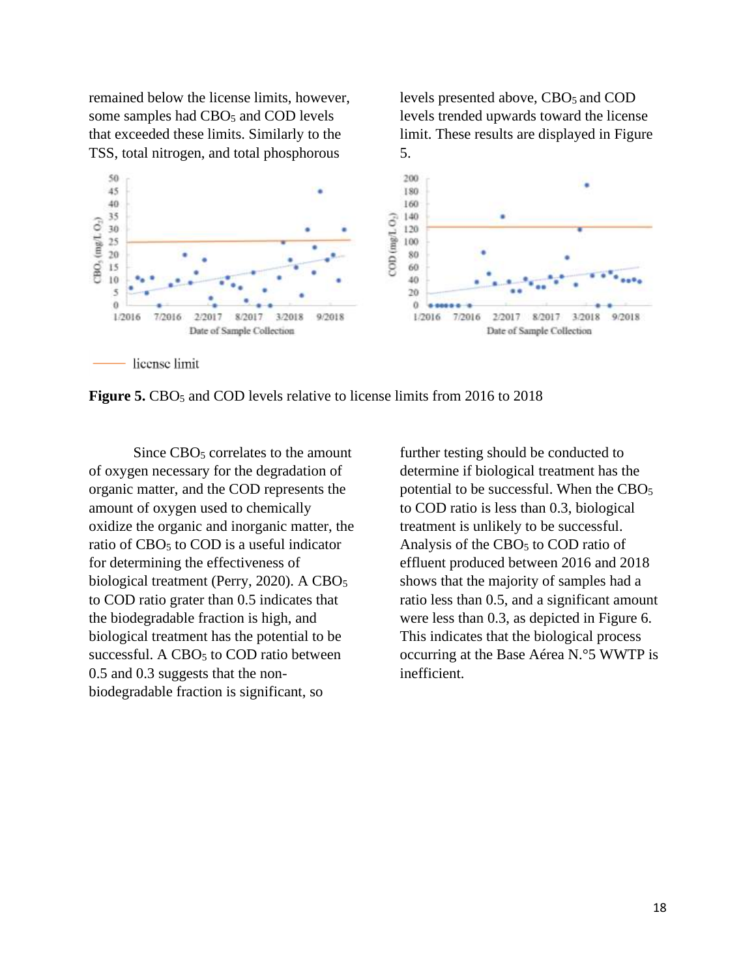remained below the license limits, however, some samples had CBO<sub>5</sub> and COD levels that exceeded these limits. Similarly to the TSS, total nitrogen, and total phosphorous

levels presented above, CBO<sub>5</sub> and COD levels trended upwards toward the license limit. These results are displayed in Figure 5.



**Figure 5.** CBO<sub>5</sub> and COD levels relative to license limits from 2016 to 2018

Since CBO<sub>5</sub> correlates to the amount of oxygen necessary for the degradation of organic matter, and the COD represents the amount of oxygen used to chemically oxidize the organic and inorganic matter, the ratio of CBO<sub>5</sub> to COD is a useful indicator for determining the effectiveness of biological treatment (Perry, 2020). A  $CBO<sub>5</sub>$ to COD ratio grater than 0.5 indicates that the biodegradable fraction is high, and biological treatment has the potential to be successful. A  $CBO<sub>5</sub>$  to  $COD$  ratio between 0.5 and 0.3 suggests that the nonbiodegradable fraction is significant, so

further testing should be conducted to determine if biological treatment has the potential to be successful. When the  $CBO<sub>5</sub>$ to COD ratio is less than 0.3, biological treatment is unlikely to be successful. Analysis of the  $CBO<sub>5</sub>$  to  $COD$  ratio of effluent produced between 2016 and 2018 shows that the majority of samples had a ratio less than 0.5, and a significant amount were less than 0.3, as depicted in Figure 6. This indicates that the biological process occurring at the Base Aérea N.°5 WWTP is inefficient.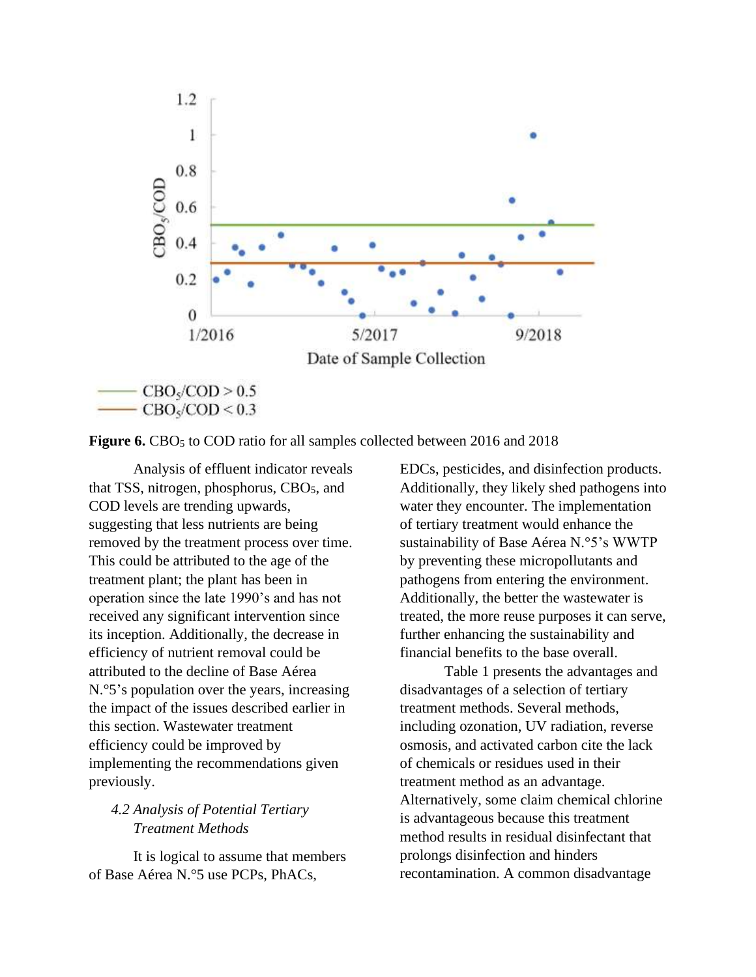

Figure 6. CBO<sub>5</sub> to COD ratio for all samples collected between 2016 and 2018

Analysis of effluent indicator reveals that TSS, nitrogen, phosphorus,  $CBO<sub>5</sub>$ , and COD levels are trending upwards, suggesting that less nutrients are being removed by the treatment process over time. This could be attributed to the age of the treatment plant; the plant has been in operation since the late 1990's and has not received any significant intervention since its inception. Additionally, the decrease in efficiency of nutrient removal could be attributed to the decline of Base Aérea N.°5's population over the years, increasing the impact of the issues described earlier in this section. Wastewater treatment efficiency could be improved by implementing the recommendations given previously.

## *4.2 Analysis of Potential Tertiary Treatment Methods*

It is logical to assume that members of Base Aérea N.°5 use PCPs, PhACs,

EDCs, pesticides, and disinfection products. Additionally, they likely shed pathogens into water they encounter. The implementation of tertiary treatment would enhance the sustainability of Base Aérea N.°5's WWTP by preventing these micropollutants and pathogens from entering the environment. Additionally, the better the wastewater is treated, the more reuse purposes it can serve, further enhancing the sustainability and financial benefits to the base overall.

Table 1 presents the advantages and disadvantages of a selection of tertiary treatment methods. Several methods, including ozonation, UV radiation, reverse osmosis, and activated carbon cite the lack of chemicals or residues used in their treatment method as an advantage. Alternatively, some claim chemical chlorine is advantageous because this treatment method results in residual disinfectant that prolongs disinfection and hinders recontamination. A common disadvantage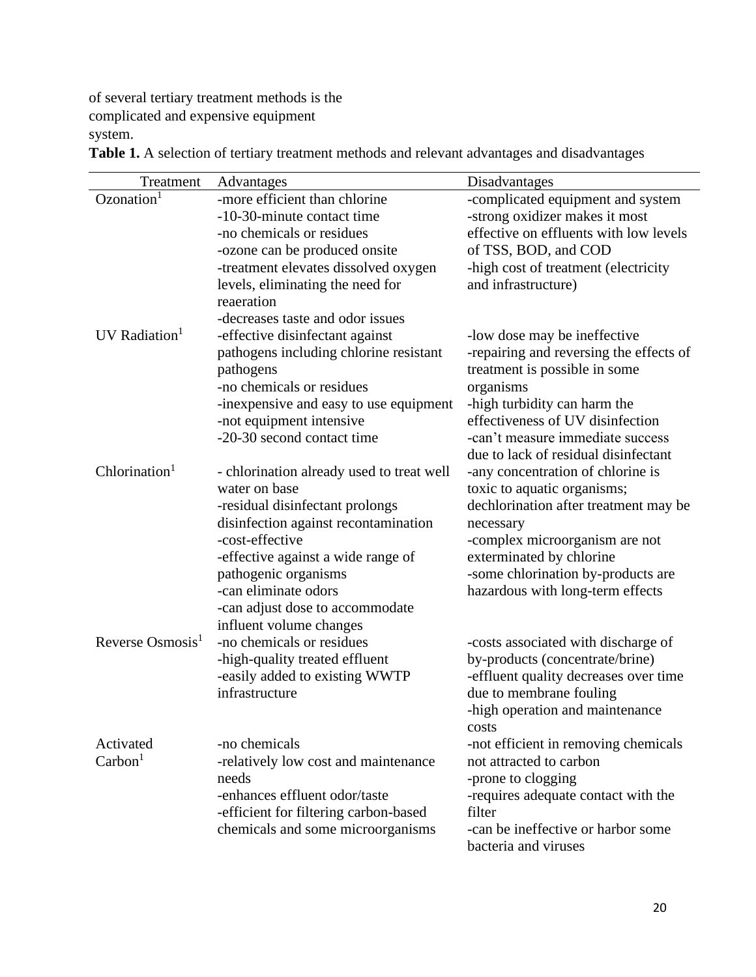of several tertiary treatment methods is the complicated and expensive equipment system.

Treatment Advantages Disadvantages  $Oz$ onation<sup>1</sup> -more efficient than chlorine -10-30-minute contact time -no chemicals or residues -ozone can be produced onsite -treatment elevates dissolved oxygen levels, eliminating the need for reaeration -decreases taste and odor issues -complicated equipment and system -strong oxidizer makes it most effective on effluents with low levels of TSS, BOD, and COD -high cost of treatment (electricity and infrastructure) UV Radiation $<sup>1</sup>$ </sup> -effective disinfectant against pathogens including chlorine resistant pathogens -no chemicals or residues -inexpensive and easy to use equipment -not equipment intensive -20-30 second contact time -low dose may be ineffective -repairing and reversing the effects of treatment is possible in some organisms -high turbidity can harm the effectiveness of UV disinfection -can't measure immediate success due to lack of residual disinfectant  $Chlorination<sup>1</sup>$ - chlorination already used to treat well water on base -residual disinfectant prolongs disinfection against recontamination -cost-effective -effective against a wide range of pathogenic organisms -can eliminate odors -can adjust dose to accommodate influent volume changes -any concentration of chlorine is toxic to aquatic organisms; dechlorination after treatment may be necessary -complex microorganism are not exterminated by chlorine -some chlorination by-products are hazardous with long-term effects Reverse Osmosis $<sup>1</sup>$ </sup> -no chemicals or residues -high-quality treated effluent -easily added to existing WWTP infrastructure -costs associated with discharge of by-products (concentrate/brine) -effluent quality decreases over time due to membrane fouling -high operation and maintenance costs Activated  $Carbon<sup>1</sup>$ -no chemicals -relatively low cost and maintenance needs -enhances effluent odor/taste -efficient for filtering carbon-based chemicals and some microorganisms -not efficient in removing chemicals not attracted to carbon -prone to clogging -requires adequate contact with the filter -can be ineffective or harbor some bacteria and viruses

**Table 1.** A selection of tertiary treatment methods and relevant advantages and disadvantages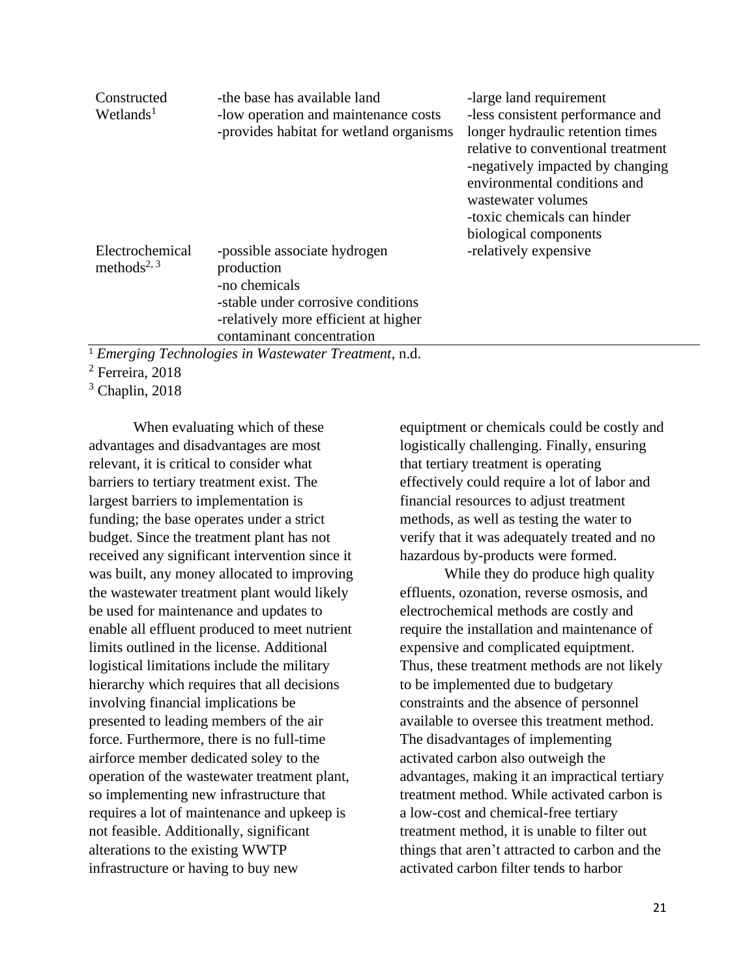| Constructed<br>Wetlands <sup>1</sup>       | -the base has available land<br>-low operation and maintenance costs | -large land requirement<br>-less consistent performance and            |
|--------------------------------------------|----------------------------------------------------------------------|------------------------------------------------------------------------|
|                                            | -provides habitat for wetland organisms                              | longer hydraulic retention times<br>relative to conventional treatment |
|                                            |                                                                      | -negatively impacted by changing                                       |
|                                            |                                                                      | environmental conditions and                                           |
|                                            |                                                                      | wastewater volumes<br>-toxic chemicals can hinder                      |
|                                            |                                                                      | biological components                                                  |
| Electrochemical<br>methods <sup>2, 3</sup> | -possible associate hydrogen<br>production                           | -relatively expensive                                                  |
|                                            | -no chemicals                                                        |                                                                        |
|                                            | -stable under corrosive conditions                                   |                                                                        |
|                                            | -relatively more efficient at higher                                 |                                                                        |
|                                            | contaminant concentration                                            |                                                                        |

<sup>1</sup> *Emerging Technologies in Wastewater Treatment*, n.d.

<sup>2</sup> Ferreira, 2018

 $3$  Chaplin, 2018

When evaluating which of these advantages and disadvantages are most relevant, it is critical to consider what barriers to tertiary treatment exist. The largest barriers to implementation is funding; the base operates under a strict budget. Since the treatment plant has not received any significant intervention since it was built, any money allocated to improving the wastewater treatment plant would likely be used for maintenance and updates to enable all effluent produced to meet nutrient limits outlined in the license. Additional logistical limitations include the military hierarchy which requires that all decisions involving financial implications be presented to leading members of the air force. Furthermore, there is no full-time airforce member dedicated soley to the operation of the wastewater treatment plant, so implementing new infrastructure that requires a lot of maintenance and upkeep is not feasible. Additionally, significant alterations to the existing WWTP infrastructure or having to buy new

equiptment or chemicals could be costly and logistically challenging. Finally, ensuring that tertiary treatment is operating effectively could require a lot of labor and financial resources to adjust treatment methods, as well as testing the water to verify that it was adequately treated and no hazardous by-products were formed.

While they do produce high quality effluents, ozonation, reverse osmosis, and electrochemical methods are costly and require the installation and maintenance of expensive and complicated equiptment. Thus, these treatment methods are not likely to be implemented due to budgetary constraints and the absence of personnel available to oversee this treatment method. The disadvantages of implementing activated carbon also outweigh the advantages, making it an impractical tertiary treatment method. While activated carbon is a low-cost and chemical-free tertiary treatment method, it is unable to filter out things that aren't attracted to carbon and the activated carbon filter tends to harbor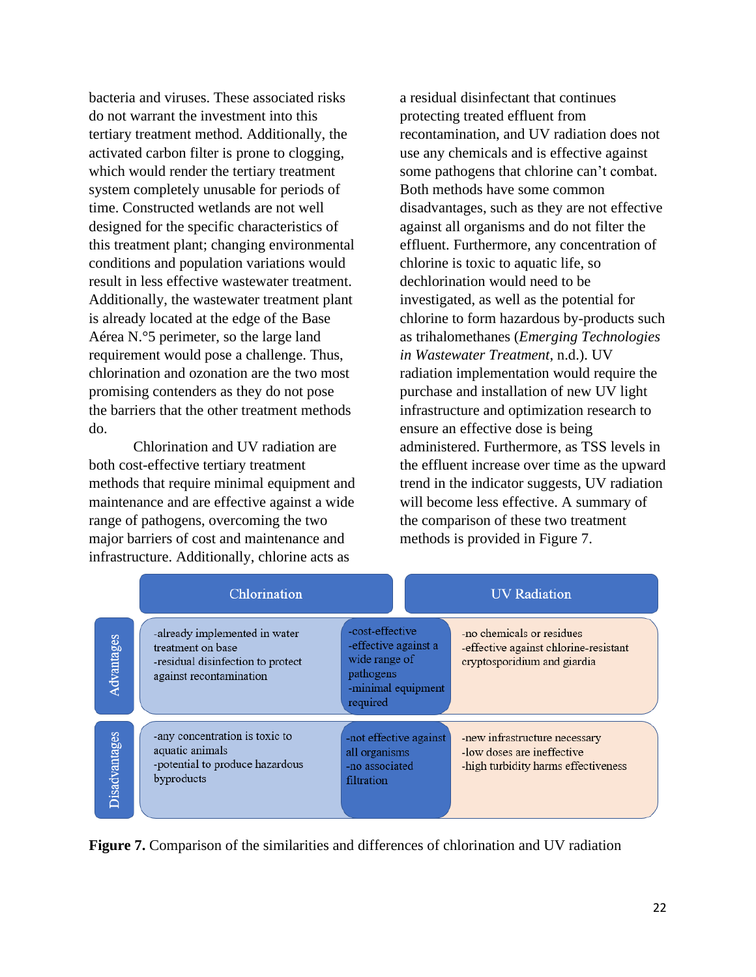bacteria and viruses. These associated risks do not warrant the investment into this tertiary treatment method. Additionally, the activated carbon filter is prone to clogging, which would render the tertiary treatment system completely unusable for periods of time. Constructed wetlands are not well designed for the specific characteristics of this treatment plant; changing environmental conditions and population variations would result in less effective wastewater treatment. Additionally, the wastewater treatment plant is already located at the edge of the Base Aérea N.°5 perimeter, so the large land requirement would pose a challenge. Thus, chlorination and ozonation are the two most promising contenders as they do not pose the barriers that the other treatment methods do.

Chlorination and UV radiation are both cost-effective tertiary treatment methods that require minimal equipment and maintenance and are effective against a wide range of pathogens, overcoming the two major barriers of cost and maintenance and infrastructure. Additionally, chlorine acts as

a residual disinfectant that continues protecting treated effluent from recontamination, and UV radiation does not use any chemicals and is effective against some pathogens that chlorine can't combat. Both methods have some common disadvantages, such as they are not effective against all organisms and do not filter the effluent. Furthermore, any concentration of chlorine is toxic to aquatic life, so dechlorination would need to be investigated, as well as the potential for chlorine to form hazardous by-products such as trihalomethanes (*Emerging Technologies in Wastewater Treatment*, n.d.). UV radiation implementation would require the purchase and installation of new UV light infrastructure and optimization research to ensure an effective dose is being administered. Furthermore, as TSS levels in the effluent increase over time as the upward trend in the indicator suggests, UV radiation will become less effective. A summary of the comparison of these two treatment methods is provided in Figure 7.

|               | Chlorination                                                                                                       |                                                                                                         | <b>UV</b> Radiation                                                                                |
|---------------|--------------------------------------------------------------------------------------------------------------------|---------------------------------------------------------------------------------------------------------|----------------------------------------------------------------------------------------------------|
| Advantages    | -already implemented in water<br>treatment on base<br>-residual disinfection to protect<br>against recontamination | -cost-effective<br>-effective against a<br>wide range of<br>pathogens<br>-minimal equipment<br>required | -no chemicals or residues<br>-effective against chlorine-resistant<br>cryptosporidium and giardia  |
| Disadvantages | -any concentration is toxic to<br>aquatic animals<br>-potential to produce hazardous<br>byproducts                 | -not effective against<br>all organisms<br>-no associated<br>filtration                                 | -new infrastructure necessary<br>-low doses are ineffective<br>-high turbidity harms effectiveness |

**Figure 7.** Comparison of the similarities and differences of chlorination and UV radiation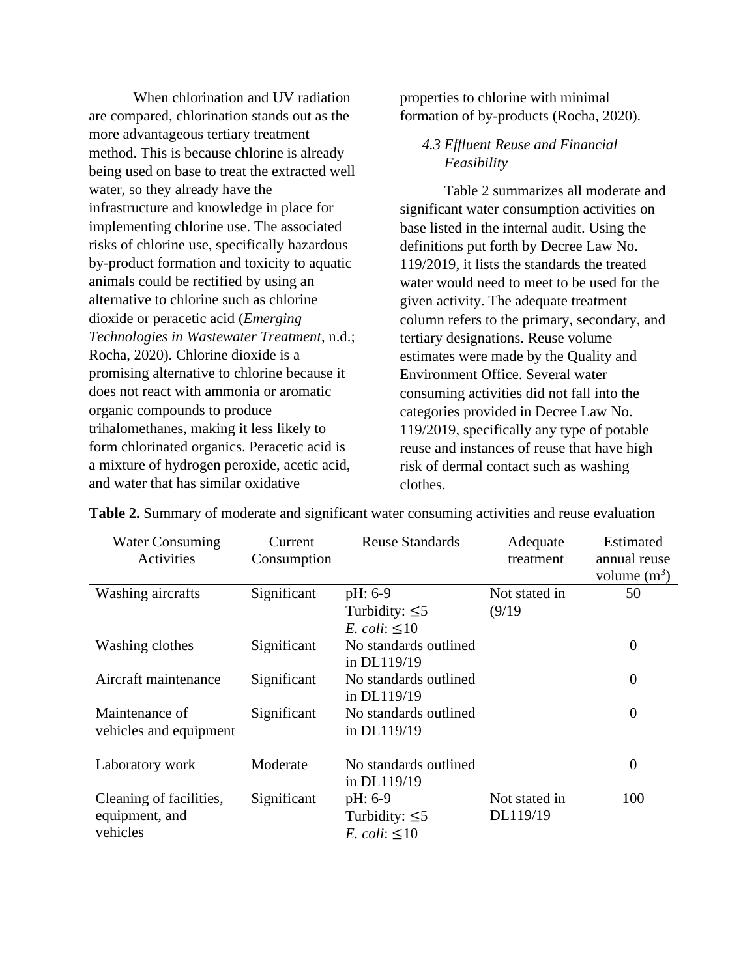When chlorination and UV radiation are compared, chlorination stands out as the more advantageous tertiary treatment method. This is because chlorine is already being used on base to treat the extracted well water, so they already have the infrastructure and knowledge in place for implementing chlorine use. The associated risks of chlorine use, specifically hazardous by-product formation and toxicity to aquatic animals could be rectified by using an alternative to chlorine such as chlorine dioxide or peracetic acid (*Emerging Technologies in Wastewater Treatment*, n.d.; Rocha, 2020). Chlorine dioxide is a promising alternative to chlorine because it does not react with ammonia or aromatic organic compounds to produce trihalomethanes, making it less likely to form chlorinated organics. Peracetic acid is a mixture of hydrogen peroxide, acetic acid, and water that has similar oxidative

properties to chlorine with minimal formation of by-products (Rocha, 2020).

## *4.3 Effluent Reuse and Financial Feasibility*

Table 2 summarizes all moderate and significant water consumption activities on base listed in the internal audit. Using the definitions put forth by Decree Law No. 119/2019, it lists the standards the treated water would need to meet to be used for the given activity. The adequate treatment column refers to the primary, secondary, and tertiary designations. Reuse volume estimates were made by the Quality and Environment Office. Several water consuming activities did not fall into the categories provided in Decree Law No. 119/2019, specifically any type of potable reuse and instances of reuse that have high risk of dermal contact such as washing clothes.

| <b>Water Consuming</b>  | Current     | <b>Reuse Standards</b> | Adequate      | Estimated      |
|-------------------------|-------------|------------------------|---------------|----------------|
| Activities              | Consumption |                        | treatment     | annual reuse   |
|                         |             |                        |               | volume $(m^3)$ |
| Washing aircrafts       | Significant | $pH: 6-9$              | Not stated in | 50             |
|                         |             | Turbidity: $\leq$ 5    | (9/19)        |                |
|                         |             | E. coli: $\leq 10$     |               |                |
| Washing clothes         | Significant | No standards outlined  |               | $\overline{0}$ |
|                         |             | in DL119/19            |               |                |
| Aircraft maintenance    | Significant | No standards outlined  |               | $\overline{0}$ |
|                         |             | in DL119/19            |               |                |
| Maintenance of          | Significant | No standards outlined  |               | $\overline{0}$ |
| vehicles and equipment  |             | in DL119/19            |               |                |
| Laboratory work         | Moderate    | No standards outlined  |               | $\overline{0}$ |
|                         |             | in DL119/19            |               |                |
| Cleaning of facilities, | Significant | pH: 6-9                | Not stated in | 100            |
| equipment, and          |             | Turbidity: $\leq$ 5    | DL119/19      |                |
| vehicles                |             | E. coli: $\leq 10$     |               |                |

**Table 2.** Summary of moderate and significant water consuming activities and reuse evaluation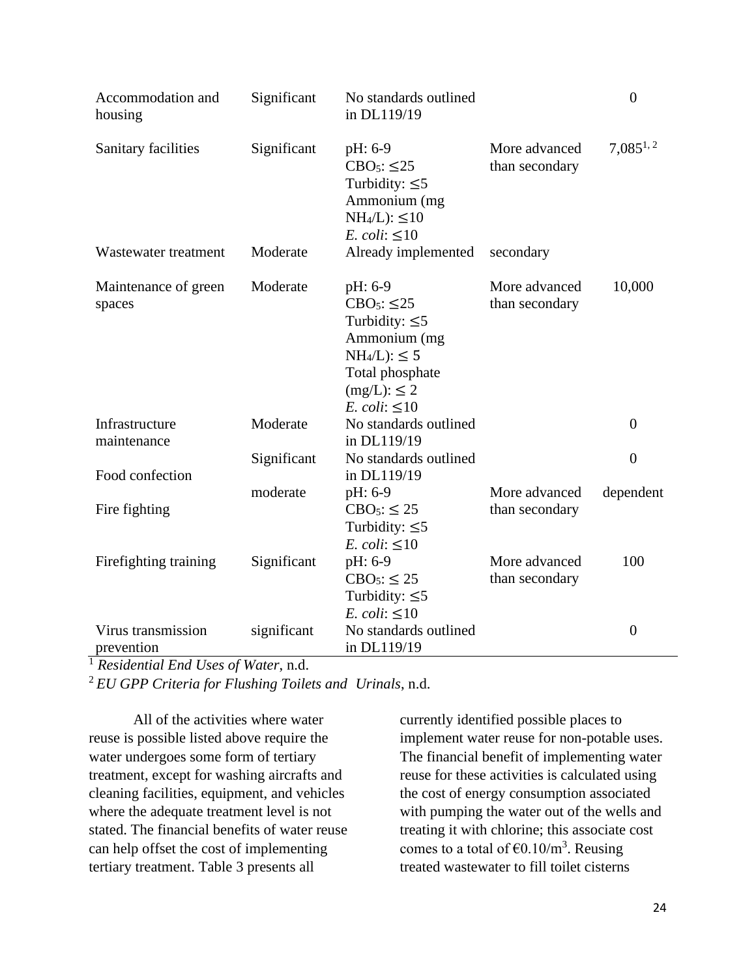| Accommodation and<br>housing     | Significant | No standards outlined<br>in DL119/19                                                                                                                  |                                 | $\overline{0}$ |
|----------------------------------|-------------|-------------------------------------------------------------------------------------------------------------------------------------------------------|---------------------------------|----------------|
| Sanitary facilities              | Significant | pH: 6-9<br>$CBO5: \leq 25$<br>Turbidity: $\leq$ 5<br>Ammonium (mg<br>$NH4/L$ : $\leq 10$<br>E. coli: $\leq 10$                                        | More advanced<br>than secondary | $7,085^{1,2}$  |
| Wastewater treatment             | Moderate    | Already implemented                                                                                                                                   | secondary                       |                |
| Maintenance of green<br>spaces   | Moderate    | pH: 6-9<br>$CBO5: \leq 25$<br>Turbidity: $\leq$ 5<br>Ammonium (mg<br>$NH_4/L$ : $\leq$ 5<br>Total phosphate<br>$(mg/L): \leq 2$<br>E. coli: $\leq 10$ | More advanced<br>than secondary | 10,000         |
| Infrastructure<br>maintenance    | Moderate    | No standards outlined<br>in DL119/19                                                                                                                  |                                 | $\overline{0}$ |
| Food confection                  | Significant | No standards outlined<br>in DL119/19                                                                                                                  |                                 | $\overline{0}$ |
| Fire fighting                    | moderate    | pH: 6-9<br>$CBO5:$ $\leq$ 25<br>Turbidity: $\leq 5$<br>E. coli: $\leq 10$                                                                             | More advanced<br>than secondary | dependent      |
| Firefighting training            | Significant | pH: 6-9<br>$CBO5:$ $\leq$ 25<br>Turbidity: $\leq$ 5<br>E. coli: $\leq 10$                                                                             | More advanced<br>than secondary | 100            |
| Virus transmission<br>prevention | significant | No standards outlined<br>in DL119/19                                                                                                                  |                                 | $\overline{0}$ |

<sup>1</sup> *Residential End Uses of Water*, n.d.

<sup>2</sup> *EU GPP Criteria for Flushing Toilets and Urinals*, n.d.

All of the activities where water reuse is possible listed above require the water undergoes some form of tertiary treatment, except for washing aircrafts and cleaning facilities, equipment, and vehicles where the adequate treatment level is not stated. The financial benefits of water reuse can help offset the cost of implementing tertiary treatment. Table 3 presents all

currently identified possible places to implement water reuse for non-potable uses. The financial benefit of implementing water reuse for these activities is calculated using the cost of energy consumption associated with pumping the water out of the wells and treating it with chlorine; this associate cost comes to a total of  $\epsilon$ 0.10/m<sup>3</sup>. Reusing treated wastewater to fill toilet cisterns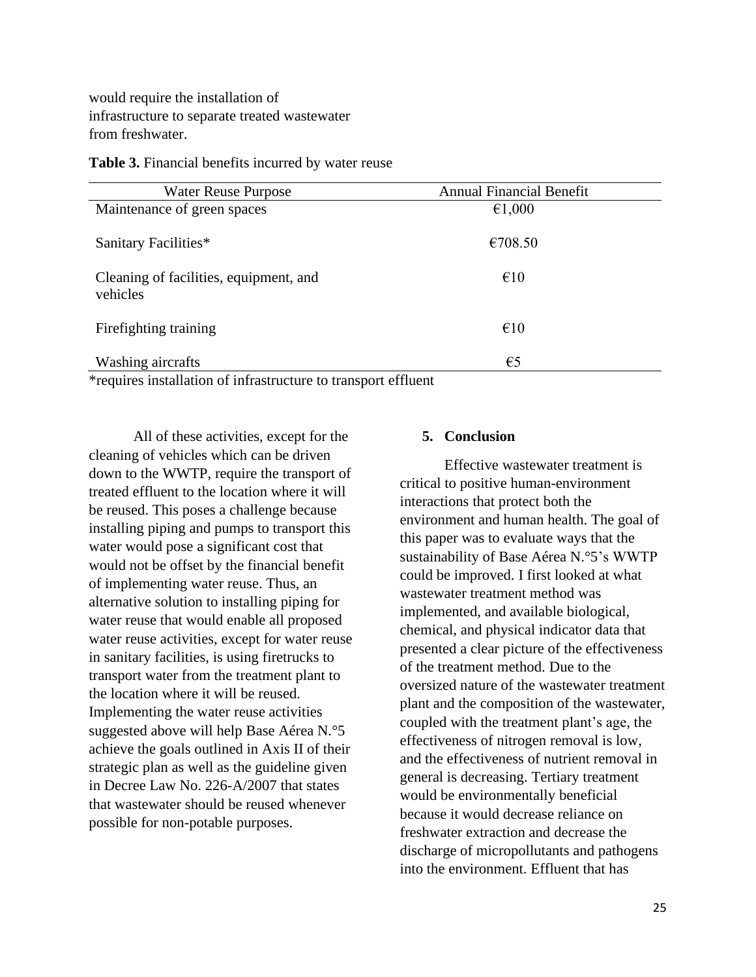would require the installation of infrastructure to separate treated wastewater from freshwater.

| Table 3. Financial benefits incurred by water reuse |  |  |  |
|-----------------------------------------------------|--|--|--|
|-----------------------------------------------------|--|--|--|

| <b>Water Reuse Purpose</b>                         | <b>Annual Financial Benefit</b> |
|----------------------------------------------------|---------------------------------|
| Maintenance of green spaces                        | €1,000                          |
| Sanitary Facilities*                               | €708.50                         |
| Cleaning of facilities, equipment, and<br>vehicles | $\epsilon$ 10                   |
| Firefighting training                              | $\epsilon$ 10                   |
| Washing aircrafts                                  | $\epsilon$ 5                    |

\*requires installation of infrastructure to transport effluent

All of these activities, except for the cleaning of vehicles which can be driven down to the WWTP, require the transport of treated effluent to the location where it will be reused. This poses a challenge because installing piping and pumps to transport this water would pose a significant cost that would not be offset by the financial benefit of implementing water reuse. Thus, an alternative solution to installing piping for water reuse that would enable all proposed water reuse activities, except for water reuse in sanitary facilities, is using firetrucks to transport water from the treatment plant to the location where it will be reused. Implementing the water reuse activities suggested above will help Base Aérea N.°5 achieve the goals outlined in Axis II of their strategic plan as well as the guideline given in Decree Law No. 226-A/2007 that states that wastewater should be reused whenever possible for non-potable purposes.

## **5. Conclusion**

Effective wastewater treatment is critical to positive human-environment interactions that protect both the environment and human health. The goal of this paper was to evaluate ways that the sustainability of Base Aérea N.°5's WWTP could be improved. I first looked at what wastewater treatment method was implemented, and available biological, chemical, and physical indicator data that presented a clear picture of the effectiveness of the treatment method. Due to the oversized nature of the wastewater treatment plant and the composition of the wastewater, coupled with the treatment plant's age, the effectiveness of nitrogen removal is low, and the effectiveness of nutrient removal in general is decreasing. Tertiary treatment would be environmentally beneficial because it would decrease reliance on freshwater extraction and decrease the discharge of micropollutants and pathogens into the environment. Effluent that has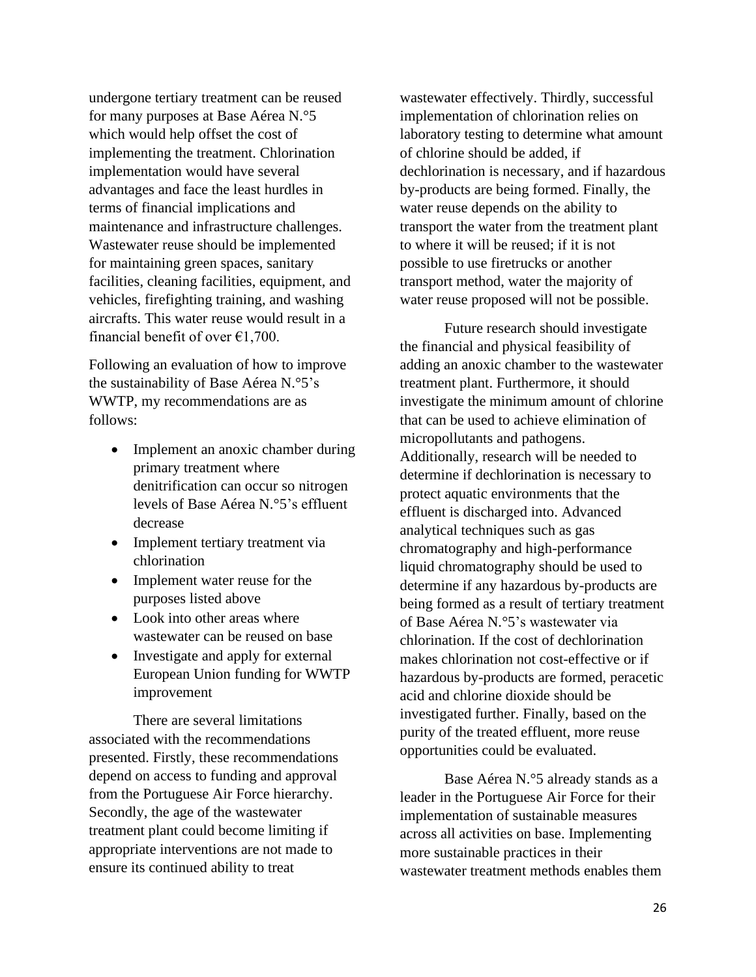undergone tertiary treatment can be reused for many purposes at Base Aérea N.°5 which would help offset the cost of implementing the treatment. Chlorination implementation would have several advantages and face the least hurdles in terms of financial implications and maintenance and infrastructure challenges. Wastewater reuse should be implemented for maintaining green spaces, sanitary facilities, cleaning facilities, equipment, and vehicles, firefighting training, and washing aircrafts. This water reuse would result in a financial benefit of over  $\epsilon$ 1,700.

Following an evaluation of how to improve the sustainability of Base Aérea N.°5's WWTP, my recommendations are as follows:

- Implement an anoxic chamber during primary treatment where denitrification can occur so nitrogen levels of Base Aérea N.°5's effluent decrease
- Implement tertiary treatment via chlorination
- Implement water reuse for the purposes listed above
- Look into other areas where wastewater can be reused on base
- Investigate and apply for external European Union funding for WWTP improvement

There are several limitations associated with the recommendations presented. Firstly, these recommendations depend on access to funding and approval from the Portuguese Air Force hierarchy. Secondly, the age of the wastewater treatment plant could become limiting if appropriate interventions are not made to ensure its continued ability to treat

wastewater effectively. Thirdly, successful implementation of chlorination relies on laboratory testing to determine what amount of chlorine should be added, if dechlorination is necessary, and if hazardous by-products are being formed. Finally, the water reuse depends on the ability to transport the water from the treatment plant to where it will be reused; if it is not possible to use firetrucks or another transport method, water the majority of water reuse proposed will not be possible.

Future research should investigate the financial and physical feasibility of adding an anoxic chamber to the wastewater treatment plant. Furthermore, it should investigate the minimum amount of chlorine that can be used to achieve elimination of micropollutants and pathogens. Additionally, research will be needed to determine if dechlorination is necessary to protect aquatic environments that the effluent is discharged into. Advanced analytical techniques such as gas chromatography and high-performance liquid chromatography should be used to determine if any hazardous by-products are being formed as a result of tertiary treatment of Base Aérea N.°5's wastewater via chlorination. If the cost of dechlorination makes chlorination not cost-effective or if hazardous by-products are formed, peracetic acid and chlorine dioxide should be investigated further. Finally, based on the purity of the treated effluent, more reuse opportunities could be evaluated.

Base Aérea N.°5 already stands as a leader in the Portuguese Air Force for their implementation of sustainable measures across all activities on base. Implementing more sustainable practices in their wastewater treatment methods enables them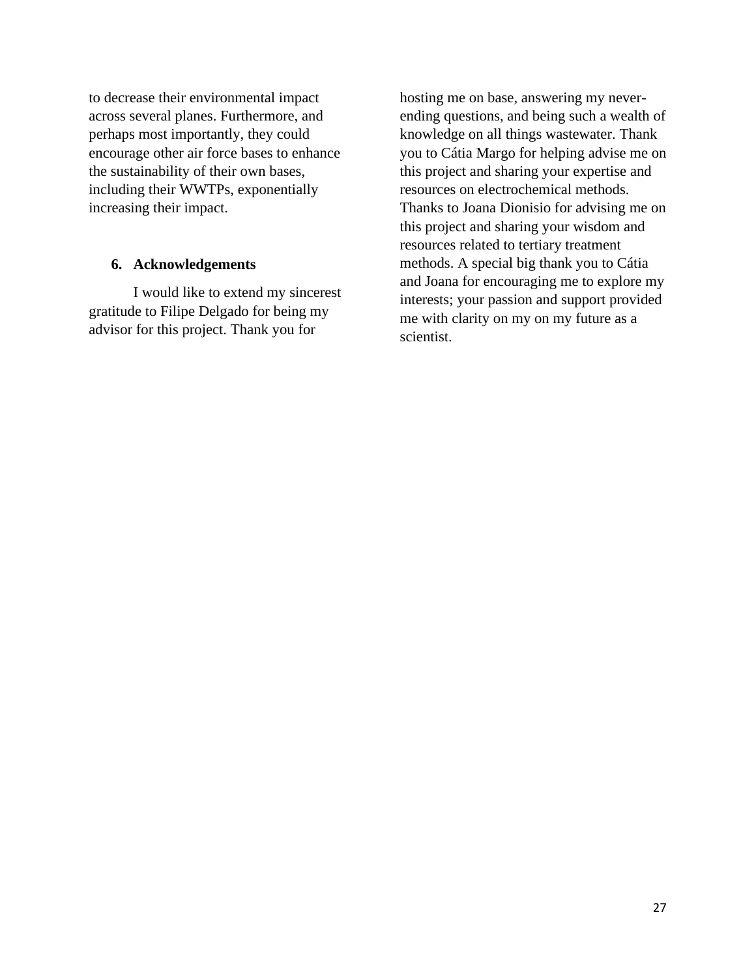to decrease their environmental impact across several planes. Furthermore, and perhaps most importantly, they could encourage other air force bases to enhance the sustainability of their own bases, including their WWTPs, exponentially increasing their impact.

### **6. Acknowledgements**

I would like to extend my sincerest gratitude to Filipe Delgado for being my advisor for this project. Thank you for

hosting me on base, answering my neverending questions, and being such a wealth of knowledge on all things wastewater. Thank you to Cátia Margo for helping advise me on this project and sharing your expertise and resources on electrochemical methods. Thanks to Joana Dionisio for advising me on this project and sharing your wisdom and resources related to tertiary treatment methods. A special big thank you to Cátia and Joana for encouraging me to explore my interests; your passion and support provided me with clarity on my on my future as a scientist.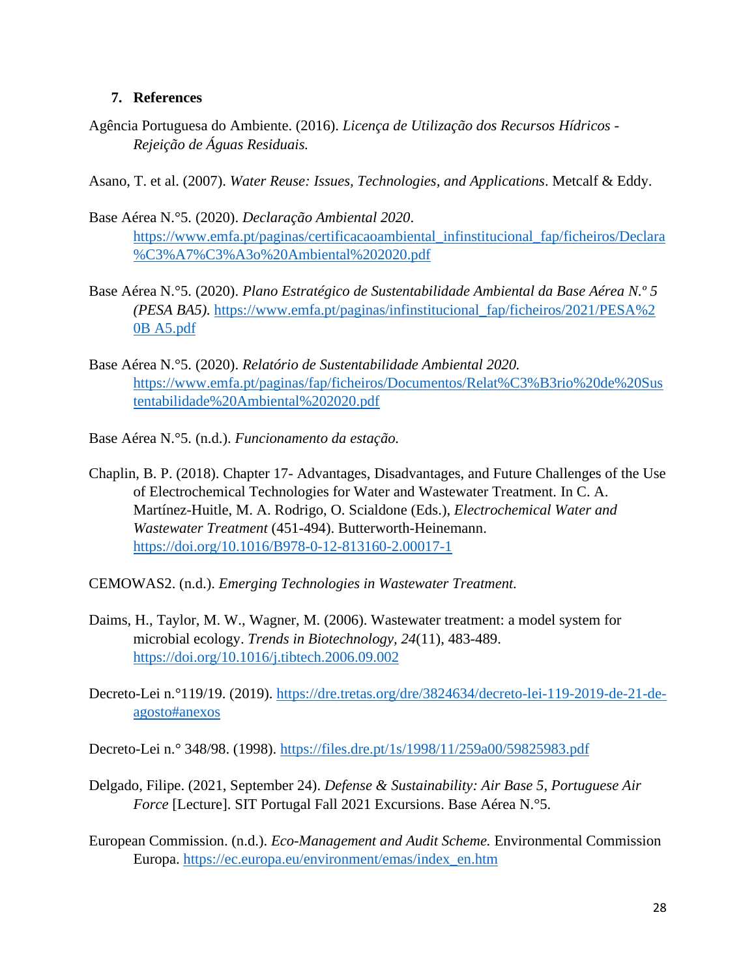## **7. References**

Agência Portuguesa do Ambiente. (2016). *Licença de Utilização dos Recursos Hídricos - Rejeição de Águas Residuais.* 

Asano, T. et al. (2007). *Water Reuse: Issues, Technologies, and Applications*. Metcalf & Eddy.

- Base Aérea N.°5. (2020). *Declaração Ambiental 2020*. [https://www.emfa.pt/paginas/certificacaoambiental\\_infinstitucional\\_fap/ficheiros/Declara](https://www.emfa.pt/paginas/certificacaoambiental_infinstitucional_fap/ficheiros/Declara%09%C3%A7%C3%A3o%20Ambiental%202020.pdf) [%C3%A7%C3%A3o%20Ambiental%202020.pdf](https://www.emfa.pt/paginas/certificacaoambiental_infinstitucional_fap/ficheiros/Declara%09%C3%A7%C3%A3o%20Ambiental%202020.pdf)
- Base Aérea N.°5. (2020). *Plano Estratégico de Sustentabilidade Ambiental da Base Aérea N.º 5 (PESA BA5).* [https://www.emfa.pt/paginas/infinstitucional\\_fap/ficheiros/2021/PESA%2](https://www.emfa.pt/paginas/infinstitucional_fap/ficheiros/2021/PESA%252%20%090B%20A5.pdf)  [0B A5.pdf](https://www.emfa.pt/paginas/infinstitucional_fap/ficheiros/2021/PESA%252%20%090B%20A5.pdf)
- Base Aérea N.°5. (2020). *Relatório de Sustentabilidade Ambiental 2020.* [https://www.emfa.pt/paginas/fap/ficheiros/Documentos/Relat%C3%B3rio%20de%20Sus](https://www.emfa.pt/paginas/fap/ficheiros/Documentos/Relat%C3%B3rio%20de%20Sus%09tentabilidade%20Ambiental%202020.pdf) [tentabilidade%20Ambiental%202020.pdf](https://www.emfa.pt/paginas/fap/ficheiros/Documentos/Relat%C3%B3rio%20de%20Sus%09tentabilidade%20Ambiental%202020.pdf)
- Base Aérea N.°5. (n.d.). *Funcionamento da estação.*
- Chaplin, B. P. (2018). Chapter 17- Advantages, Disadvantages, and Future Challenges of the Use of Electrochemical Technologies for Water and Wastewater Treatment. In C. A. Martínez-Huitle, M. A. Rodrigo, O. Scialdone (Eds.), *Electrochemical Water and Wastewater Treatment* (451-494). Butterworth-Heinemann. <https://doi.org/10.1016/B978-0-12-813160-2.00017-1>
- CEMOWAS2. (n.d.). *Emerging Technologies in Wastewater Treatment.*
- Daims, H., Taylor, M. W., Wagner, M. (2006). Wastewater treatment: a model system for microbial ecology. *Trends in Biotechnology, 24*(11), 483-489. <https://doi.org/10.1016/j.tibtech.2006.09.002>
- Decreto-Lei n.°119/19. (2019). [https://dre.tretas.org/dre/3824634/decreto-lei-119-2019-de-21-de](https://dre.tretas.org/dre/3824634/decreto-lei-119-2019-de-21-de-%09agosto#anexos)[agosto#anexos](https://dre.tretas.org/dre/3824634/decreto-lei-119-2019-de-21-de-%09agosto#anexos)

Decreto-Lei n.° 348/98. (1998).<https://files.dre.pt/1s/1998/11/259a00/59825983.pdf>

- Delgado, Filipe. (2021, September 24). *Defense & Sustainability: Air Base 5, Portuguese Air Force* [Lecture]. SIT Portugal Fall 2021 Excursions. Base Aérea N.°5.
- European Commission. (n.d.). *Eco-Management and Audit Scheme.* Environmental Commission Europa. [https://ec.europa.eu/environment/emas/index\\_en.htm](https://ec.europa.eu/environment/emas/index_en.htm)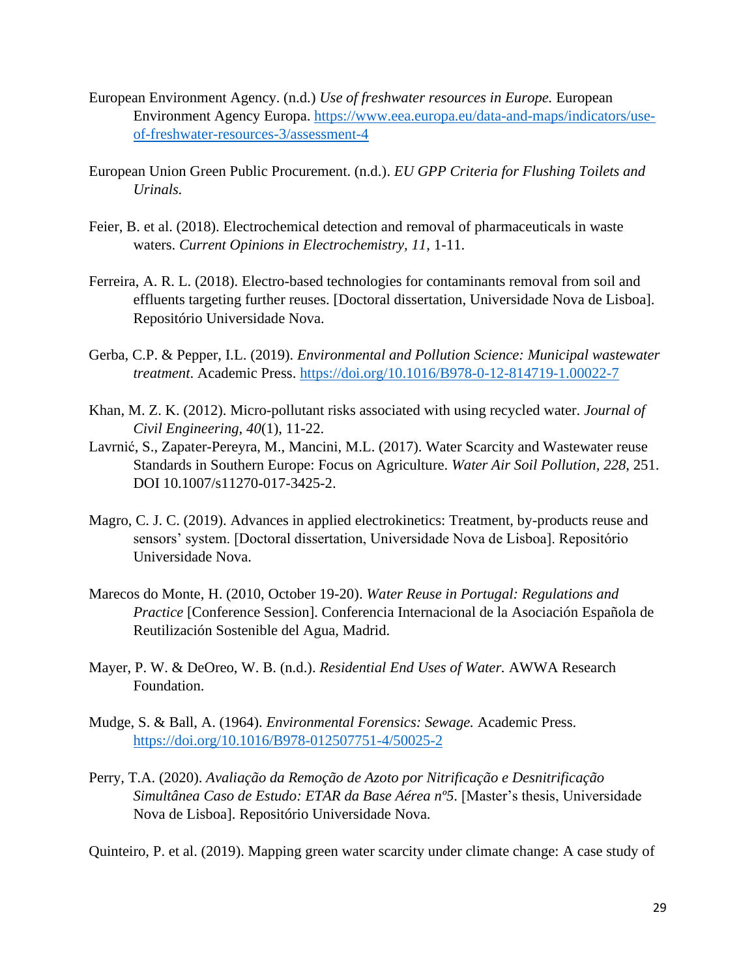- European Environment Agency. (n.d.) *Use of freshwater resources in Europe.* European Environment Agency Europa. [https://www.eea.europa.eu/data-and-maps/indicators/use](https://www.eea.europa.eu/data-and-maps/indicators/use-of-freshwater-resources-3/assessment-4)[of-freshwater-resources-3/assessment-4](https://www.eea.europa.eu/data-and-maps/indicators/use-of-freshwater-resources-3/assessment-4)
- European Union Green Public Procurement. (n.d.). *EU GPP Criteria for Flushing Toilets and Urinals.*
- Feier, B. et al. (2018). Electrochemical detection and removal of pharmaceuticals in waste waters. *Current Opinions in Electrochemistry, 11*, 1-11.
- Ferreira, A. R. L. (2018). Electro-based technologies for contaminants removal from soil and effluents targeting further reuses. [Doctoral dissertation, Universidade Nova de Lisboa]. Repositório Universidade Nova.
- Gerba, C.P. & Pepper, I.L. (2019). *Environmental and Pollution Science: Municipal wastewater treatment*. Academic Press.<https://doi.org/10.1016/B978-0-12-814719-1.00022-7>
- Khan, M. Z. K. (2012). Micro-pollutant risks associated with using recycled water. *Journal of Civil Engineering, 40*(1), 11-22.
- Lavrnić, S., Zapater-Pereyra, M., Mancini, M.L. (2017). Water Scarcity and Wastewater reuse Standards in Southern Europe: Focus on Agriculture. *Water Air Soil Pollution, 228*, 251. DOI 10.1007/s11270-017-3425-2.
- Magro, C. J. C. (2019). Advances in applied electrokinetics: Treatment, by-products reuse and sensors' system. [Doctoral dissertation, Universidade Nova de Lisboa]. Repositório Universidade Nova.
- Marecos do Monte, H. (2010, October 19-20). *Water Reuse in Portugal: Regulations and Practice* [Conference Session]. Conferencia Internacional de la Asociación Española de Reutilización Sostenible del Agua, Madrid.
- Mayer, P. W. & DeOreo, W. B. (n.d.). *Residential End Uses of Water.* AWWA Research Foundation.
- Mudge, S. & Ball, A. (1964). *Environmental Forensics: Sewage.* Academic Press. <https://doi.org/10.1016/B978-012507751-4/50025-2>
- Perry, T.A. (2020). *Avaliação da Remoção de Azoto por Nitrificação e Desnitrificação Simultânea Caso de Estudo: ETAR da Base Aérea nº5*. [Master's thesis, Universidade Nova de Lisboa]. Repositório Universidade Nova.

Quinteiro, P. et al. (2019). Mapping green water scarcity under climate change: A case study of